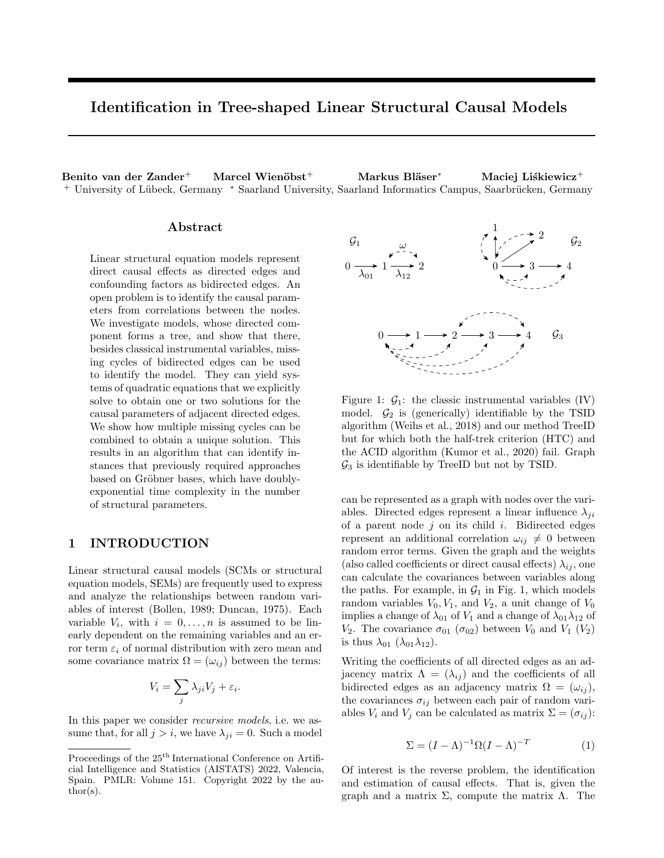# Identification in Tree-shaped Linear Structural Causal Models

Benito van der Zander $^+$  Marcel Wienöbst $^+$  Markus Bläser $^*$  Maciej Liśkiewicz $^+$ + University of Lübeck, Germany \* Saarland University, Saarland Informatics Campus, Saarbrücken, Germany

#### Abstract

Linear structural equation models represent direct causal effects as directed edges and confounding factors as bidirected edges. An open problem is to identify the causal parameters from correlations between the nodes. We investigate models, whose directed component forms a tree, and show that there, besides classical instrumental variables, missing cycles of bidirected edges can be used to identify the model. They can yield systems of quadratic equations that we explicitly solve to obtain one or two solutions for the causal parameters of adjacent directed edges. We show how multiple missing cycles can be combined to obtain a unique solution. This results in an algorithm that can identify instances that previously required approaches based on Gröbner bases, which have doublyexponential time complexity in the number of structural parameters.

# 1 INTRODUCTION

Linear structural causal models (SCMs or structural equation models, SEMs) are frequently used to express and analyze the relationships between random variables of interest (Bollen, 1989; Duncan, 1975). Each variable  $V_i$ , with  $i = 0, \ldots, n$  is assumed to be linearly dependent on the remaining variables and an error term  $\varepsilon_i$  of normal distribution with zero mean and some covariance matrix  $\Omega = (\omega_{ij})$  between the terms:

$$
V_i = \sum_j \lambda_{ji} V_j + \varepsilon_i.
$$

In this paper we consider recursive models, i.e. we assume that, for all  $j > i$ , we have  $\lambda_{ji} = 0$ . Such a model



Figure 1:  $\mathcal{G}_1$ : the classic instrumental variables (IV) model.  $\mathcal{G}_2$  is (generically) identifiable by the TSID algorithm (Weihs et al., 2018) and our method TreeID but for which both the half-trek criterion (HTC) and the ACID algorithm (Kumor et al., 2020) fail. Graph  $\mathcal{G}_3$  is identifiable by TreeID but not by TSID.

can be represented as a graph with nodes over the variables. Directed edges represent a linear influence  $\lambda_{ji}$ of a parent node  $j$  on its child  $i$ . Bidirected edges represent an additional correlation  $\omega_{ij} \neq 0$  between random error terms. Given the graph and the weights (also called coefficients or direct causal effects)  $\lambda_{ij}$ , one can calculate the covariances between variables along the paths. For example, in  $\mathcal{G}_1$  in Fig. 1, which models random variables  $V_0, V_1$ , and  $V_2$ , a unit change of  $V_0$ implies a change of  $\lambda_{01}$  of  $V_1$  and a change of  $\lambda_{01}\lambda_{12}$  of  $V_2$ . The covariance  $\sigma_{01}$  ( $\sigma_{02}$ ) between  $V_0$  and  $V_1$  ( $V_2$ ) is thus  $\lambda_{01}$  ( $\lambda_{01}\lambda_{12}$ ).

Writing the coefficients of all directed edges as an adjacency matrix  $\Lambda = (\lambda_{ij})$  and the coefficients of all bidirected edges as an adjacency matrix  $\Omega = (\omega_{ij}),$ the covariances  $\sigma_{ij}$  between each pair of random variables  $V_i$  and  $V_j$  can be calculated as matrix  $\Sigma = (\sigma_{ij})$ :

$$
\Sigma = (I - \Lambda)^{-1} \Omega (I - \Lambda)^{-T}
$$
 (1)

Of interest is the reverse problem, the identification and estimation of causal effects. That is, given the graph and a matrix Σ, compute the matrix Λ. The

Proceedings of the  $25<sup>th</sup>$  International Conference on Artificial Intelligence and Statistics (AISTATS) 2022, Valencia, Spain. PMLR: Volume 151. Copyright 2022 by the au- $\text{thor}(s)$ .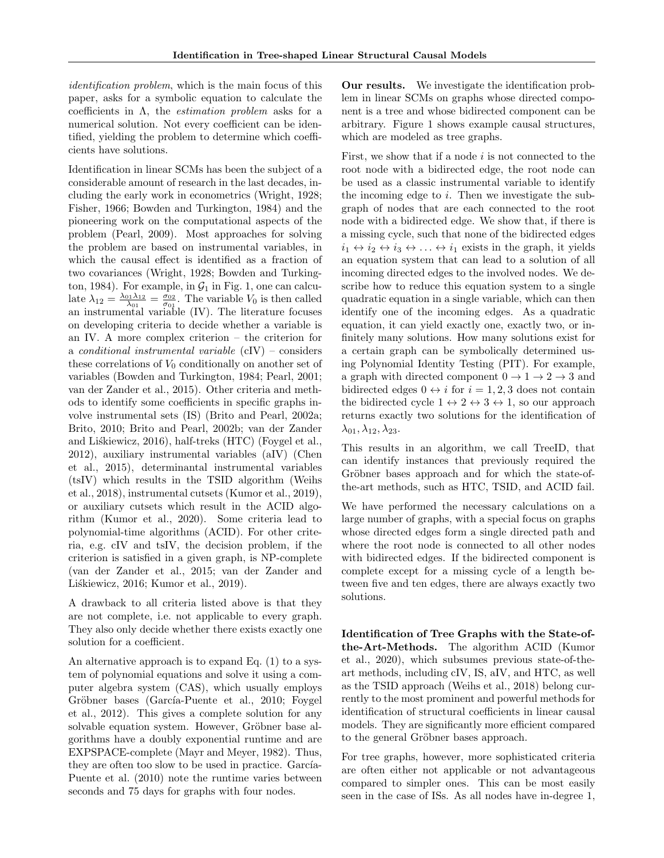identification problem, which is the main focus of this paper, asks for a symbolic equation to calculate the coefficients in  $\Lambda$ , the *estimation problem* asks for a numerical solution. Not every coefficient can be identified, yielding the problem to determine which coefficients have solutions.

Identification in linear SCMs has been the subject of a considerable amount of research in the last decades, including the early work in econometrics (Wright, 1928; Fisher, 1966; Bowden and Turkington, 1984) and the pioneering work on the computational aspects of the problem (Pearl, 2009). Most approaches for solving the problem are based on instrumental variables, in which the causal effect is identified as a fraction of two covariances (Wright, 1928; Bowden and Turkington, 1984). For example, in  $\mathcal{G}_1$  in Fig. 1, one can calculate  $\lambda_{12} = \frac{\lambda_{01}\lambda_{12}}{\lambda_{01}} = \frac{\sigma_{02}}{\sigma_{01}}$ . The variable  $V_0$  is then called an instrumental variable (IV). The literature focuses on developing criteria to decide whether a variable is an IV. A more complex criterion – the criterion for a conditional instrumental variable (cIV) – considers these correlations of  $V_0$  conditionally on another set of variables (Bowden and Turkington, 1984; Pearl, 2001; van der Zander et al., 2015). Other criteria and methods to identify some coefficients in specific graphs involve instrumental sets (IS) (Brito and Pearl, 2002a; Brito, 2010; Brito and Pearl, 2002b; van der Zander and Liskiewicz, 2016), half-treks (HTC) (Foygel et al., 2012), auxiliary instrumental variables (aIV) (Chen et al., 2015), determinantal instrumental variables (tsIV) which results in the TSID algorithm (Weihs et al., 2018), instrumental cutsets (Kumor et al., 2019), or auxiliary cutsets which result in the ACID algorithm (Kumor et al., 2020). Some criteria lead to polynomial-time algorithms (ACID). For other criteria, e.g. cIV and tsIV, the decision problem, if the criterion is satisfied in a given graph, is NP-complete (van der Zander et al., 2015; van der Zander and Liśkiewicz, 2016; Kumor et al., 2019).

A drawback to all criteria listed above is that they are not complete, i.e. not applicable to every graph. They also only decide whether there exists exactly one solution for a coefficient.

An alternative approach is to expand Eq. (1) to a system of polynomial equations and solve it using a computer algebra system (CAS), which usually employs Gröbner bases (García-Puente et al., 2010; Foygel et al., 2012). This gives a complete solution for any solvable equation system. However, Gröbner base algorithms have a doubly exponential runtime and are EXPSPACE-complete (Mayr and Meyer, 1982). Thus, they are often too slow to be used in practice. García-Puente et al. (2010) note the runtime varies between seconds and 75 days for graphs with four nodes.

Our results. We investigate the identification problem in linear SCMs on graphs whose directed component is a tree and whose bidirected component can be arbitrary. Figure 1 shows example causal structures, which are modeled as tree graphs.

First, we show that if a node  $i$  is not connected to the root node with a bidirected edge, the root node can be used as a classic instrumental variable to identify the incoming edge to  $i$ . Then we investigate the subgraph of nodes that are each connected to the root node with a bidirected edge. We show that, if there is a missing cycle, such that none of the bidirected edges  $i_1 \leftrightarrow i_2 \leftrightarrow i_3 \leftrightarrow \ldots \leftrightarrow i_1$  exists in the graph, it yields an equation system that can lead to a solution of all incoming directed edges to the involved nodes. We describe how to reduce this equation system to a single quadratic equation in a single variable, which can then identify one of the incoming edges. As a quadratic equation, it can yield exactly one, exactly two, or infinitely many solutions. How many solutions exist for a certain graph can be symbolically determined using Polynomial Identity Testing (PIT). For example, a graph with directed component  $0 \to 1 \to 2 \to 3$  and bidirected edges  $0 \leftrightarrow i$  for  $i = 1, 2, 3$  does not contain the bidirected cycle  $1 \leftrightarrow 2 \leftrightarrow 3 \leftrightarrow 1$ , so our approach returns exactly two solutions for the identification of  $\lambda_{01}, \lambda_{12}, \lambda_{23}.$ 

This results in an algorithm, we call TreeID, that can identify instances that previously required the Gröbner bases approach and for which the state-ofthe-art methods, such as HTC, TSID, and ACID fail.

We have performed the necessary calculations on a large number of graphs, with a special focus on graphs whose directed edges form a single directed path and where the root node is connected to all other nodes with bidirected edges. If the bidirected component is complete except for a missing cycle of a length between five and ten edges, there are always exactly two solutions.

Identification of Tree Graphs with the State-ofthe-Art-Methods. The algorithm ACID (Kumor et al., 2020), which subsumes previous state-of-theart methods, including cIV, IS, aIV, and HTC, as well as the TSID approach (Weihs et al., 2018) belong currently to the most prominent and powerful methods for identification of structural coefficients in linear causal models. They are significantly more efficient compared to the general Gröbner bases approach.

For tree graphs, however, more sophisticated criteria are often either not applicable or not advantageous compared to simpler ones. This can be most easily seen in the case of ISs. As all nodes have in-degree 1,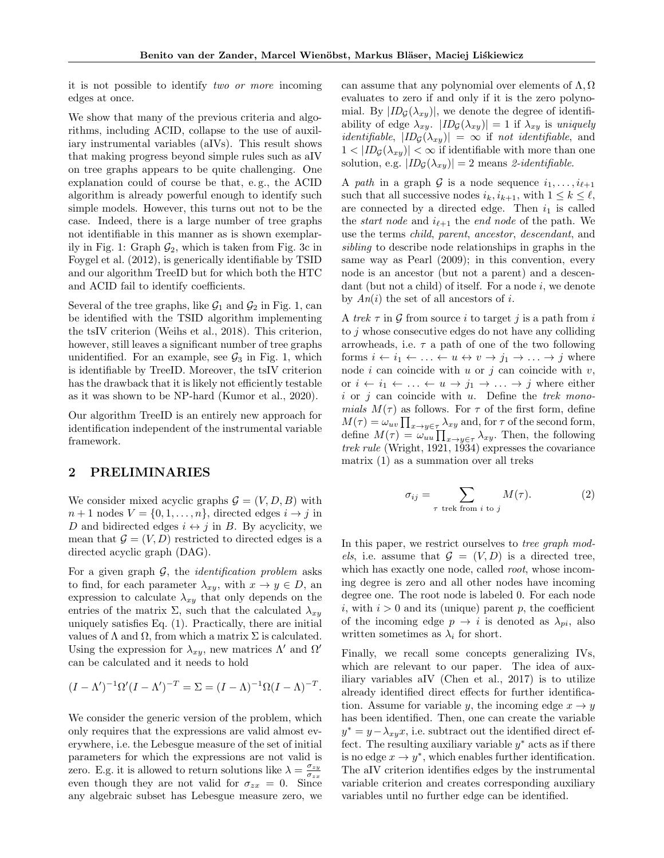it is not possible to identify two or more incoming edges at once.

We show that many of the previous criteria and algorithms, including ACID, collapse to the use of auxiliary instrumental variables (aIVs). This result shows that making progress beyond simple rules such as aIV on tree graphs appears to be quite challenging. One explanation could of course be that, e. g., the ACID algorithm is already powerful enough to identify such simple models. However, this turns out not to be the case. Indeed, there is a large number of tree graphs not identifiable in this manner as is shown exemplarily in Fig. 1: Graph  $\mathcal{G}_2$ , which is taken from Fig. 3c in Foygel et al. (2012), is generically identifiable by TSID and our algorithm TreeID but for which both the HTC and ACID fail to identify coefficients.

Several of the tree graphs, like  $\mathcal{G}_1$  and  $\mathcal{G}_2$  in Fig. 1, can be identified with the TSID algorithm implementing the tsIV criterion (Weihs et al., 2018). This criterion, however, still leaves a significant number of tree graphs unidentified. For an example, see  $\mathcal{G}_3$  in Fig. 1, which is identifiable by TreeID. Moreover, the tsIV criterion has the drawback that it is likely not efficiently testable as it was shown to be NP-hard (Kumor et al., 2020).

Our algorithm TreeID is an entirely new approach for identification independent of the instrumental variable framework.

## 2 PRELIMINARIES

We consider mixed acyclic graphs  $\mathcal{G} = (V, D, B)$  with  $n+1$  nodes  $V = \{0, 1, \ldots, n\}$ , directed edges  $i \to j$  in D and bidirected edges  $i \leftrightarrow j$  in B. By acyclicity, we mean that  $\mathcal{G} = (V, D)$  restricted to directed edges is a directed acyclic graph (DAG).

For a given graph  $G$ , the *identification problem* asks to find, for each parameter  $\lambda_{xy}$ , with  $x \to y \in D$ , an expression to calculate  $\lambda_{xy}$  that only depends on the entries of the matrix  $\Sigma$ , such that the calculated  $\lambda_{xy}$ uniquely satisfies Eq. (1). Practically, there are initial values of  $\Lambda$  and  $\Omega$ , from which a matrix  $\Sigma$  is calculated. Using the expression for  $\lambda_{xy}$ , new matrices  $\Lambda'$  and  $\Omega'$ can be calculated and it needs to hold

$$
(I - \Lambda')^{-1} \Omega' (I - \Lambda')^{-T} = \Sigma = (I - \Lambda)^{-1} \Omega (I - \Lambda)^{-T}.
$$

We consider the generic version of the problem, which only requires that the expressions are valid almost everywhere, i.e. the Lebesgue measure of the set of initial parameters for which the expressions are not valid is zero. E.g. it is allowed to return solutions like  $\lambda = \frac{\sigma_{zy}}{\sigma_{z}}$  $\sigma_{zx}$ even though they are not valid for  $\sigma_{zx} = 0$ . Since any algebraic subset has Lebesgue measure zero, we can assume that any polynomial over elements of  $\Lambda$ ,  $\Omega$ evaluates to zero if and only if it is the zero polynomial. By  $|ID_{\mathcal{G}}(\lambda_{xy})|$ , we denote the degree of identifiability of edge  $\lambda_{xy}$ .  $|ID_{\mathcal{G}}(\lambda_{xy})| = 1$  if  $\lambda_{xy}$  is uniquely *identifiable,*  $|ID_{\mathcal{G}}(\lambda_{xy})| = \infty$  if not *identifiable*, and  $1 < |ID_G(\lambda_{xy})| < \infty$  if identifiable with more than one solution, e.g.  $|ID_{\mathcal{G}}(\lambda_{xy})| = 2$  means 2-identifiable.

A path in a graph G is a node sequence  $i_1, \ldots, i_{\ell+1}$ such that all successive nodes  $i_k, i_{k+1}$ , with  $1 \leq k \leq \ell$ , are connected by a directed edge. Then  $i_1$  is called the *start node* and  $i_{\ell+1}$  the *end node* of the path. We use the terms child, parent, ancestor, descendant, and sibling to describe node relationships in graphs in the same way as Pearl (2009); in this convention, every node is an ancestor (but not a parent) and a descendant (but not a child) of itself. For a node  $i$ , we denote by  $An(i)$  the set of all ancestors of i.

A trek  $\tau$  in  $\mathcal G$  from source i to target j is a path from i to j whose consecutive edges do not have any colliding arrowheads, i.e.  $\tau$  a path of one of the two following forms  $i \leftarrow i_1 \leftarrow \ldots \leftarrow u \leftrightarrow v \rightarrow j_1 \rightarrow \ldots \rightarrow j$  where node i can coincide with u or j can coincide with  $v$ , or  $i \leftarrow i_1 \leftarrow \ldots \leftarrow u \rightarrow j_1 \rightarrow \ldots \rightarrow j$  where either i or j can coincide with u. Define the trek monomials  $M(\tau)$  as follows. For  $\tau$  of the first form, define  $M(\tau) = \omega_{uv} \prod_{x \to y \in \tau} \lambda_{xy}$  and, for  $\tau$  of the second form, define  $M(\tau) = \omega_{uu} \prod_{x \to y \in \tau} \lambda_{xy}$ . Then, the following trek rule (Wright, 1921, 1934) expresses the covariance matrix (1) as a summation over all treks

$$
\sigma_{ij} = \sum_{\tau \text{ trek from } i \text{ to } j} M(\tau). \tag{2}
$$

In this paper, we restrict ourselves to *tree graph mod*els, i.e. assume that  $\mathcal{G} = (V, D)$  is a directed tree, which has exactly one node, called *root*, whose incoming degree is zero and all other nodes have incoming degree one. The root node is labeled 0. For each node i, with  $i > 0$  and its (unique) parent p, the coefficient of the incoming edge  $p \to i$  is denoted as  $\lambda_{pi}$ , also written sometimes as  $\lambda_i$  for short.

Finally, we recall some concepts generalizing IVs, which are relevant to our paper. The idea of auxiliary variables aIV (Chen et al., 2017) is to utilize already identified direct effects for further identification. Assume for variable y, the incoming edge  $x \to y$ has been identified. Then, one can create the variable  $y^* = y - \lambda_{xy}x$ , i.e. subtract out the identified direct effect. The resulting auxiliary variable  $y^*$  acts as if there is no edge  $x \to y^*$ , which enables further identification. The aIV criterion identifies edges by the instrumental variable criterion and creates corresponding auxiliary variables until no further edge can be identified.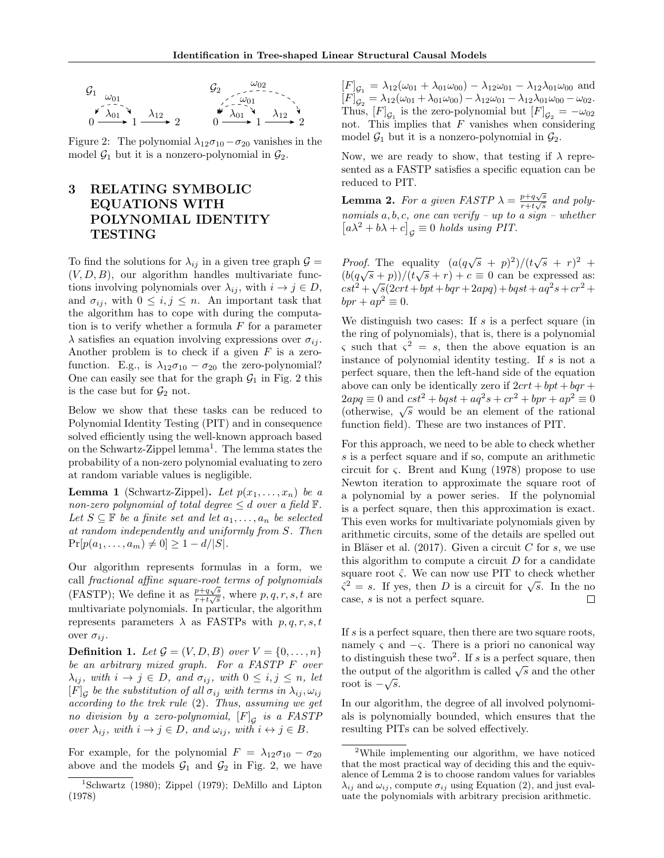

Figure 2: The polynomial  $\lambda_{12}\sigma_{10}-\sigma_{20}$  vanishes in the model  $\mathcal{G}_1$  but it is a nonzero-polynomial in  $\mathcal{G}_2$ .

# 3 RELATING SYMBOLIC EQUATIONS WITH POLYNOMIAL IDENTITY TESTING

To find the solutions for  $\lambda_{ij}$  in a given tree graph  $\mathcal{G} =$  $(V, D, B)$ , our algorithm handles multivariate functions involving polynomials over  $\lambda_{ij}$ , with  $i \to j \in D$ , and  $\sigma_{ij}$ , with  $0 \leq i, j \leq n$ . An important task that the algorithm has to cope with during the computation is to verify whether a formula  $F$  for a parameter  $\lambda$  satisfies an equation involving expressions over  $\sigma_{ij}$ . Another problem is to check if a given  $F$  is a zerofunction. E.g., is  $\lambda_{12}\sigma_{10} - \sigma_{20}$  the zero-polynomial? One can easily see that for the graph  $\mathcal{G}_1$  in Fig. 2 this is the case but for  $\mathcal{G}_2$  not.

Below we show that these tasks can be reduced to Polynomial Identity Testing (PIT) and in consequence solved efficiently using the well-known approach based on the Schwartz-Zippel lemma<sup>1</sup>. The lemma states the probability of a non-zero polynomial evaluating to zero at random variable values is negligible.

**Lemma 1** (Schwartz-Zippel). Let  $p(x_1, \ldots, x_n)$  be a non-zero polynomial of total degree  $\leq d$  over a field  $\mathbb{F}$ . Let  $S \subseteq \mathbb{F}$  be a finite set and let  $a_1, \ldots, a_n$  be selected at random independently and uniformly from S. Then  $Pr[p(a_1, \ldots, a_m) \neq 0] \geq 1 - d/|S|.$ 

Our algorithm represents formulas in a form, we call fractional affine square-root terms of polynomials (FASTP); We define it as  $\frac{p+q\sqrt{s}}{r+t\sqrt{s}}$  $\frac{p+q\sqrt{s}}{r+t\sqrt{s}}$ , where  $p, q, r, s, t$  are multivariate polynomials. In particular, the algorithm represents parameters  $\lambda$  as FASTPs with  $p, q, r, s, t$ over  $\sigma_{ij}$ .

**Definition 1.** Let  $\mathcal{G} = (V, D, B)$  over  $V = \{0, \ldots, n\}$ be an arbitrary mixed graph. For a FASTP F over  $\lambda_{ij}$ , with  $i \to j \in D$ , and  $\sigma_{ij}$ , with  $0 \leq i, j \leq n$ , let  $[F]$ <sub>G</sub> be the substitution of all  $\sigma_{ij}$  with terms in  $\lambda_{ij}, \omega_{ij}$ according to the trek rule (2). Thus, assuming we get no division by a zero-polynomial,  $[F]_{\mathcal{G}}$  is a FASTP over  $\lambda_{ij}$ , with  $i \to j \in D$ , and  $\omega_{ij}$ , with  $i \leftrightarrow j \in B$ .

For example, for the polynomial  $F = \lambda_{12}\sigma_{10} - \sigma_{20}$ above and the models  $\mathcal{G}_1$  and  $\mathcal{G}_2$  in Fig. 2, we have

 $[F]_{\mathcal{G}_1} = \lambda_{12}(\omega_{01} + \lambda_{01}\omega_{00}) - \lambda_{12}\omega_{01} - \lambda_{12}\lambda_{01}\omega_{00}$  and  $[F]_{\mathcal{G}_2} = \lambda_{12}(\omega_{01} + \lambda_{01}\omega_{00}) - \lambda_{12}\omega_{01} - \lambda_{12}\lambda_{01}\omega_{00} - \omega_{02}.$ Thus,  $[F]_{\mathcal{G}_1}$  is the zero-polynomial but  $[F]_{\mathcal{G}_2} = -\omega_{02}$ not. This implies that  $F$  vanishes when considering model  $\mathcal{G}_1$  but it is a nonzero-polynomial in  $\mathcal{G}_2$ .

Now, we are ready to show, that testing if  $\lambda$  represented as a FASTP satisfies a specific equation can be reduced to PIT.

**Lemma 2.** For a given FASTP  $\lambda = \frac{p+q\sqrt{s}}{r+1\sqrt{s}}$  $\frac{p+q\sqrt{s}}{r+t\sqrt{s}}$  and polynomials  $a, b, c$ , one can verify – up to a sign – whether  $[a\lambda^2 + b\lambda + c]_g \equiv 0$  holds using PIT.

*Proof.* The equality  $(a(q\sqrt{s} + p)^2)/(t\sqrt{s} + r)^2$  +  $(b(q\sqrt{s}+p))/(t\sqrt{s}+r)+c\equiv 0$  can be expressed as:  $cst^2 + \sqrt{s}(2crt + bpt + bqr + 2apq) + bgst + aq^2s + cr^2 +$  $bpr + ap^2 \equiv 0.$ 

We distinguish two cases: If  $s$  is a perfect square (in the ring of polynomials), that is, there is a polynomial  $\varsigma$  such that  $\varsigma^2 = s$ , then the above equation is an instance of polynomial identity testing. If  $s$  is not a perfect square, then the left-hand side of the equation above can only be identically zero if  $2crt + bpt + bq +$  $2apq \equiv 0$  and  $cst^2 + bgst + aq^2s + cr^2 + bpr + ap^2 \equiv 0$ (otherwise, <sup>√</sup> s would be an element of the rational function field). These are two instances of PIT.

For this approach, we need to be able to check whether s is a perfect square and if so, compute an arithmetic circuit for ς. Brent and Kung (1978) propose to use Newton iteration to approximate the square root of a polynomial by a power series. If the polynomial is a perfect square, then this approximation is exact. This even works for multivariate polynomials given by arithmetic circuits, some of the details are spelled out in Bläser et al.  $(2017)$ . Given a circuit C for s, we use this algorithm to compute a circuit  $D$  for a candidate square root  $\hat{\varsigma}$ . We can now use PIT to check whether square root  $\zeta$ . We can now use FIT to check whether  $\zeta^2 = s$ . If yes, then D is a circuit for  $\sqrt{s}$ . In the no case, s is not a perfect square. П

If s is a perfect square, then there are two square roots, namely  $\varsigma$  and  $-\varsigma$ . There is a priori no canonical way to distinguish these two<sup>2</sup>. If s is a perfect square, then the output of the algorithm is called  $\sqrt{s}$  and the other root is  $-\sqrt{s}$ .

In our algorithm, the degree of all involved polynomials is polynomially bounded, which ensures that the resulting PITs can be solved effectively.

<sup>&</sup>lt;sup>1</sup>Schwartz (1980); Zippel (1979); DeMillo and Lipton (1978)

<sup>2</sup>While implementing our algorithm, we have noticed that the most practical way of deciding this and the equivalence of Lemma 2 is to choose random values for variables  $\lambda_{ij}$  and  $\omega_{ij}$ , compute  $\sigma_{ij}$  using Equation (2), and just evaluate the polynomials with arbitrary precision arithmetic.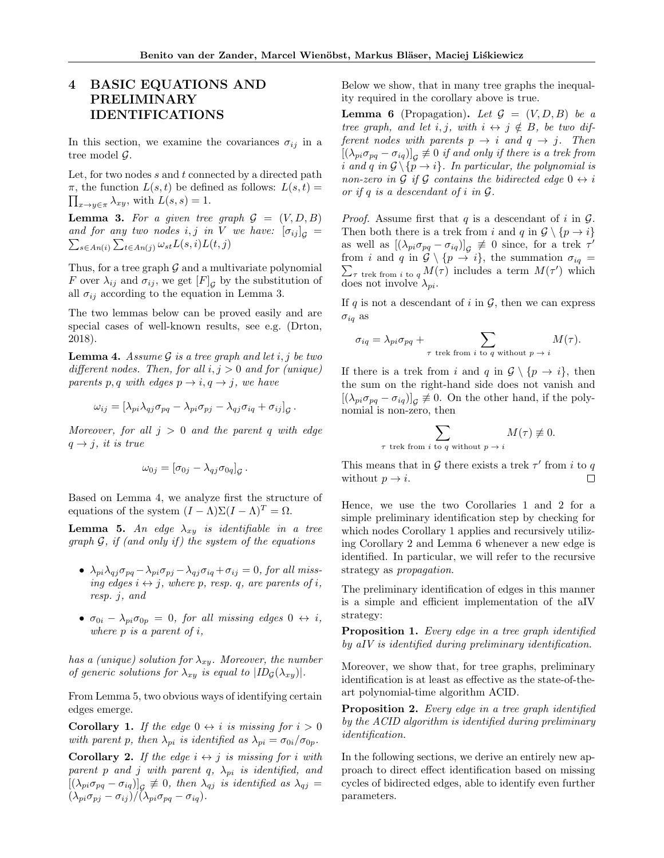# 4 BASIC EQUATIONS AND PRELIMINARY IDENTIFICATIONS

In this section, we examine the covariances  $\sigma_{ij}$  in a tree model G.

Let, for two nodes  $s$  and  $t$  connected by a directed path  $\pi$ , the function  $L(s,t)$  be defined as follows:  $L(s,t)$  =  $\prod_{x\to y\in\pi}\lambda_{xy}$ , with  $L(s,s)=1$ .

**Lemma 3.** For a given tree graph  $G = (V, D, B)$ and for any two nodes i, j in V we have:  $[\sigma_{ij}]_g =$  $\sum_{s \in An(i)} \sum_{t \in An(j)} \omega_{st} L(s, i) L(t, j)$ 

Thus, for a tree graph  $G$  and a multivariate polynomial F over  $\lambda_{ij}$  and  $\sigma_{ij}$ , we get  $[F]_{\mathcal{G}}$  by the substitution of all  $\sigma_{ij}$  according to the equation in Lemma 3.

The two lemmas below can be proved easily and are special cases of well-known results, see e.g. (Drton, 2018).

**Lemma 4.** Assume  $\mathcal G$  is a tree graph and let i, j be two different nodes. Then, for all  $i, j > 0$  and for (unique) parents p, q with edges  $p \rightarrow i, q \rightarrow j$ , we have

$$
\omega_{ij} = \left[\lambda_{pi}\lambda_{qj}\sigma_{pq} - \lambda_{pi}\sigma_{pj} - \lambda_{qj}\sigma_{iq} + \sigma_{ij}\right]_{\mathcal{G}}.
$$

Moreover, for all  $j > 0$  and the parent q with edge  $q \rightarrow j$ , it is true

$$
\omega_{0j}=[\sigma_{0j}-\lambda_{qj}\sigma_{0q}]_{\mathcal{G}}.
$$

Based on Lemma 4, we analyze first the structure of equations of the system  $(I - \Lambda)\Sigma (I - \Lambda)^T = \Omega$ .

**Lemma 5.** An edge  $\lambda_{xy}$  is identifiable in a tree graph  $G$ , if (and only if) the system of the equations

- $\lambda_{pi} \lambda_{qj} \sigma_{pq} \lambda_{pi} \sigma_{pj} \lambda_{qj} \sigma_{iq} + \sigma_{ij} = 0$ , for all missing edges  $i \leftrightarrow j$ , where p, resp. q, are parents of i, resp. j, and
- $\sigma_{0i} \lambda_{pi} \sigma_{0p} = 0$ , for all missing edges  $0 \leftrightarrow i$ , where  $p$  is a parent of  $i$ ,

has a (unique) solution for  $\lambda_{xy}$ . Moreover, the number of generic solutions for  $\lambda_{xy}$  is equal to  $|ID_{\mathcal{G}}(\lambda_{xy})|$ .

From Lemma 5, two obvious ways of identifying certain edges emerge.

**Corollary 1.** If the edge  $0 \leftrightarrow i$  is missing for  $i > 0$ with parent p, then  $\lambda_{pi}$  is identified as  $\lambda_{pi} = \sigma_{0i}/\sigma_{0p}$ .

**Corollary 2.** If the edge  $i \leftrightarrow j$  is missing for i with parent p and j with parent q,  $\lambda_{pi}$  is identified, and  $[(\lambda_{pi}\sigma_{pq}-\sigma_{iq})]_G \not\equiv 0$ , then  $\lambda_{qj}$  is identified as  $\lambda_{qj} =$  $(\lambda_{pi}\sigma_{pj}-\sigma_{ij})/(\lambda_{pi}\sigma_{pq}-\sigma_{iq}).$ 

Below we show, that in many tree graphs the inequality required in the corollary above is true.

**Lemma 6** (Propagation). Let  $\mathcal{G} = (V, D, B)$  be a tree graph, and let i, j, with  $i \leftrightarrow j \notin B$ , be two different nodes with parents  $p \rightarrow i$  and  $q \rightarrow j$ . Then  $[(\lambda_{pi}\sigma_{pq}-\sigma_{iq})]_G \not\equiv 0$  if and only if there is a trek from i and q in  $\mathcal{G} \setminus \{p \to i\}$ . In particular, the polynomial is non-zero in G if G contains the bidirected edge  $0 \leftrightarrow i$ or if  $q$  is a descendant of  $i$  in  $\mathcal{G}$ .

*Proof.* Assume first that q is a descendant of i in  $\mathcal{G}$ . Then both there is a trek from i and q in  $\mathcal{G} \setminus \{p \to i\}$ as well as  $[(\lambda_{pi}\sigma_{pq} - \sigma_{iq})]_g \not\equiv 0$  since, for a trek  $\tau'$  $\sum_{\tau}$  trek from i to q  $M(\tau)$  includes a term  $M(\tau')$  which from i and q in  $\mathcal{G} \setminus \{p \to i\}$ , the summation  $\sigma_{iq} =$ does not involve  $\lambda_{pi}$ .

If q is not a descendant of i in  $\mathcal{G}$ , then we can express  $\sigma_{iq}$  as

$$
\sigma_{iq} = \lambda_{pi} \sigma_{pq} + \sum_{\tau \text{ trek from } i \text{ to } q \text{ without } p \to i} M(\tau).
$$

If there is a trek from i and q in  $\mathcal{G} \setminus \{p \to i\}$ , then the sum on the right-hand side does not vanish and  $[(\lambda_{pi}\sigma_{pq}-\sigma_{iq})]_G \not\equiv 0$ . On the other hand, if the polynomial is non-zero, then

k from 
$$
i
$$
 to  $q$  without  $p \to i$   $M(\tau) \neq 0$ .

This means that in  $G$  there exists a trek  $\tau'$  from i to q without  $p \rightarrow i$ .  $\Box$ 

 $\tau$  tre

Hence, we use the two Corollaries 1 and 2 for a simple preliminary identification step by checking for which nodes Corollary 1 applies and recursively utilizing Corollary 2 and Lemma 6 whenever a new edge is identified. In particular, we will refer to the recursive strategy as propagation.

The preliminary identification of edges in this manner is a simple and efficient implementation of the aIV strategy:

Proposition 1. Every edge in a tree graph identified by aIV is identified during preliminary identification.

Moreover, we show that, for tree graphs, preliminary identification is at least as effective as the state-of-theart polynomial-time algorithm ACID.

Proposition 2. Every edge in a tree graph identified by the ACID algorithm is identified during preliminary identification.

In the following sections, we derive an entirely new approach to direct effect identification based on missing cycles of bidirected edges, able to identify even further parameters.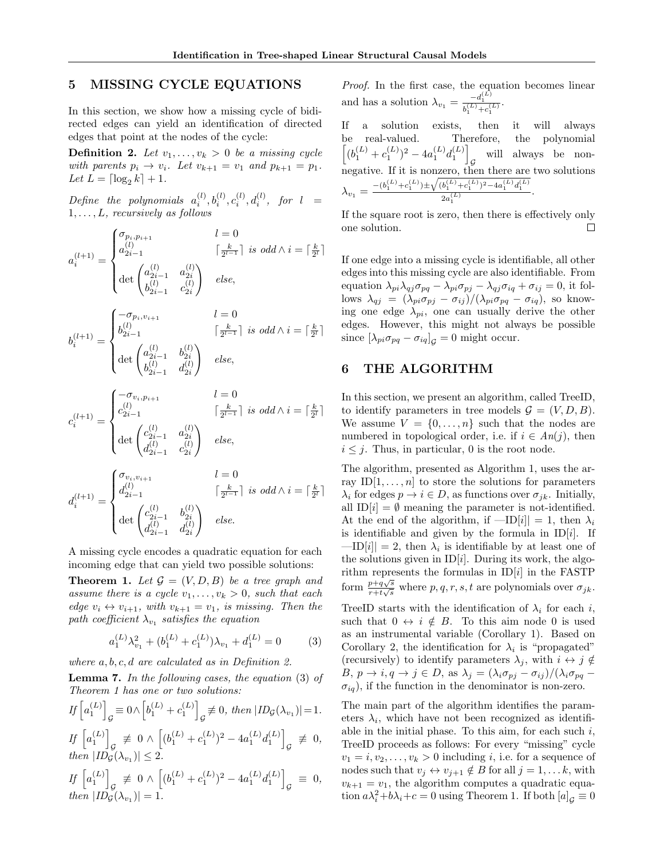# 5 MISSING CYCLE EQUATIONS

In this section, we show how a missing cycle of bidirected edges can yield an identification of directed edges that point at the nodes of the cycle:

**Definition 2.** Let  $v_1, \ldots, v_k > 0$  be a missing cycle with parents  $p_i \rightarrow v_i$ . Let  $v_{k+1} = v_1$  and  $p_{k+1} = p_1$ . Let  $L = \lceil \log_2 k \rceil + 1$ .

 $Define the polynomials  $a_i^{(l)}, b_i^{(l)}, c_i^{(l)}, d_i^{(l)}, \text{ for } l = 1$$  $1, \ldots, L$ , recursively as follows

$$
a_i^{(l+1)} = \begin{cases} \sigma_{p_i, p_{i+1}} & l = 0 \\ a_{2i-1}^{(l)} & \lceil \frac{k}{2^{l-1}} \rceil \ is \ odd \land i = \lceil \frac{k}{2^l} \rceil \\ \det \begin{pmatrix} a_{2i-1}^{(l)} & a_{2i}^{(l)} \\ b_{2i-1}^{(l)} & c_{2i}^{(l)} \end{pmatrix} & else, \\ b_i^{(l+1)} = \begin{cases} -\sigma_{p_i, v_{i+1}} & l = 0 \\ b_{2i-1}^{(l)} & \lceil \frac{k}{2^{l-1}} \rceil \ is \ odd \land i = \lceil \frac{k}{2^l} \rceil \\ \det \begin{pmatrix} a_{2i-1}^{(l)} & b_{2i}^{(l)} \\ b_{2i-1}^{(l)} & d_{2i}^{(l)} \end{pmatrix} & else, \end{cases}
$$

$$
c_i^{(l+1)} = \begin{cases} -\sigma_{v_i, p_{i+1}} & l = 0 \\ c_{2i-1}^{(l)} & \lceil \frac{k}{2^{l-1}} \rceil \ is \ odd \land i = \lceil \frac{k}{2^l} \rceil \\ \det \begin{pmatrix} c_{2i-1}^{(l)} & a_{2i}^{(l)} \\ d_{2i-1}^{(l)} & c_{2i}^{(l)} \end{pmatrix} & else, \end{cases}
$$

$$
d_i^{(l+1)} = \begin{cases} \sigma_{v_i, v_{i+1}} & l = 0 \\ d_{2i-1}^{(l)} & \lceil \frac{k}{2^{l-1}} \rceil \ is \ odd \land i = \lceil \frac{k}{2^l} \rceil \\ \det \begin{pmatrix} c_{2i-1}^{(l)} & b_{2i}^{(l)} \\ d_{2i-1}^{(l)} & d_{2i}^{(l)} \end{pmatrix} & else. \end{cases}
$$

A missing cycle encodes a quadratic equation for each incoming edge that can yield two possible solutions:

**Theorem 1.** Let  $\mathcal{G} = (V, D, B)$  be a tree graph and assume there is a cycle  $v_1, \ldots, v_k > 0$ , such that each edge  $v_i \leftrightarrow v_{i+1}$ , with  $v_{k+1} = v_1$ , is missing. Then the path coefficient  $\lambda_{v_1}$  satisfies the equation

$$
a_1^{(L)}\lambda_{v_1}^2 + (b_1^{(L)} + c_1^{(L)})\lambda_{v_1} + d_1^{(L)} = 0 \tag{3}
$$

where  $a, b, c, d$  are calculated as in Definition 2.

Lemma 7. In the following cases, the equation (3) of Theorem 1 has one or two solutions:

$$
If \begin{bmatrix} a_1^{(L)} \end{bmatrix}_{\mathcal{G}} \equiv 0 \wedge \begin{bmatrix} b_1^{(L)} + c_1^{(L)} \end{bmatrix}_{\mathcal{G}} \not\equiv 0, then |ID_{\mathcal{G}}(\lambda_{v_1})| = 1.
$$
  
\n
$$
If \begin{bmatrix} a_1^{(L)} \end{bmatrix}_{\mathcal{G}} \not\equiv 0 \wedge \left[ (b_1^{(L)} + c_1^{(L)})^2 - 4a_1^{(L)}d_1^{(L)} \right]_{\mathcal{G}} \not\equiv 0,
$$
  
\nthen  $|ID_{\mathcal{G}}(\lambda_{v_1})| \le 2.$   
\n
$$
If \begin{bmatrix} a_1^{(L)} \end{bmatrix} \not\equiv 0 \wedge \left[ (b_1^{(L)} + c_1^{(L)})^2 - 4a_1^{(L)}d_1^{(L)} \right] \equiv 0,
$$

If  $\left[a_1^{(L)}\right]_{\mathcal{G}} \not\equiv 0 \wedge$  $1^{(L)} + c$ 1 1 1  $\lfloor G$ then  $|ID_{\mathcal{G}}(\lambda_{v_1})|=1$ .

Proof. In the first case, the equation becomes linear and has a solution  $\lambda_{v_1} = \frac{-d_1^{(L)}}{b_1^{(L)} + c_1^{(L)}}$ .

If a solution exists, then it will always be real-valued. Therefore, the polynomial  $\left[ (b_1^{(L)} + c_1^{(L)})^2 - 4a_1^{(L)}d_1^{(L)} \right]$  $\cal G$ will always be nonnegative. If it is nonzero, then there are two solutions  $\lambda_{v_1} = \frac{-(b_1^{(L)}+c_1^{(L)}) \pm \sqrt{(b_1^{(L)}+c_1^{(L)})^2-4a_1^{(L)}d_1^{(L)}}}{2a_1^{(L)}}$  $\frac{a_1 + a_1 + a_1 + a_1}{2a_1^{(L)}}$ .

If the square root is zero, then there is effectively only one solution.  $\Box$ 

If one edge into a missing cycle is identifiable, all other edges into this missing cycle are also identifiable. From equation  $\lambda_{pi} \lambda_{qj} \sigma_{pq} - \lambda_{pi} \sigma_{pj} - \lambda_{qj} \sigma_{iq} + \sigma_{ij} = 0$ , it follows  $\lambda_{qj} = (\lambda_{pi} \sigma_{pj} - \sigma_{ij})/(\lambda_{pi} \sigma_{pq} - \sigma_{iq})$ , so knowing one edge  $\lambda_{pi}$ , one can usually derive the other edges. However, this might not always be possible since  $[\lambda_{pi}\sigma_{pq} - \sigma_{iq}]_G = 0$  might occur.

# 6 THE ALGORITHM

In this section, we present an algorithm, called TreeID, to identify parameters in tree models  $\mathcal{G} = (V, D, B)$ . We assume  $V = \{0, \ldots, n\}$  such that the nodes are numbered in topological order, i.e. if  $i \in An(j)$ , then  $i \leq j$ . Thus, in particular, 0 is the root node.

The algorithm, presented as Algorithm 1, uses the array  $ID[1, \ldots, n]$  to store the solutions for parameters  $\lambda_i$  for edges  $p \to i \in D$ , as functions over  $\sigma_{ik}$ . Initially, all ID $[i] = \emptyset$  meaning the parameter is not-identified. At the end of the algorithm, if  $-\text{ID}[i] = 1$ , then  $\lambda_i$ is identifiable and given by the formula in  $ID[i]$ . If  $-\text{ID}[i] = 2$ , then  $\lambda_i$  is identifiable by at least one of the solutions given in  $ID[i]$ . During its work, the algorithm represents the formulas in  $ID[i]$  in the FASTP form  $\frac{p+q\sqrt{s}}{r+t\sqrt{s}}$  $\frac{p+q\sqrt{s}}{r+t\sqrt{s}}$  where  $p,q,r,s,t$  are polynomials over  $\sigma_{jk}$ .

TreeID starts with the identification of  $\lambda_i$  for each i, such that  $0 \leftrightarrow i \notin B$ . To this aim node 0 is used as an instrumental variable (Corollary 1). Based on Corollary 2, the identification for  $\lambda_i$  is "propagated" (recursively) to identify parameters  $\lambda_j$ , with  $i \leftrightarrow j \notin$  $B, p \to i, q \to j \in D$ , as  $\lambda_j = (\lambda_i \sigma_{pj} - \sigma_{ij})/(\lambda_i \sigma_{pq} \sigma_{iq}$ ), if the function in the denominator is non-zero.

The main part of the algorithm identifies the parameters  $\lambda_i$ , which have not been recognized as identifiable in the initial phase. To this aim, for each such  $i$ , TreeID proceeds as follows: For every "missing" cycle  $v_1 = i, v_2, \ldots, v_k > 0$  including *i*, i.e. for a sequence of nodes such that  $v_j \leftrightarrow v_{j+1} \notin B$  for all  $j = 1, \ldots k$ , with  $v_{k+1} = v_1$ , the algorithm computes a quadratic equation  $a\lambda_i^2 + b\lambda_i + c = 0$  using Theorem 1. If both  $[a]_g \equiv 0$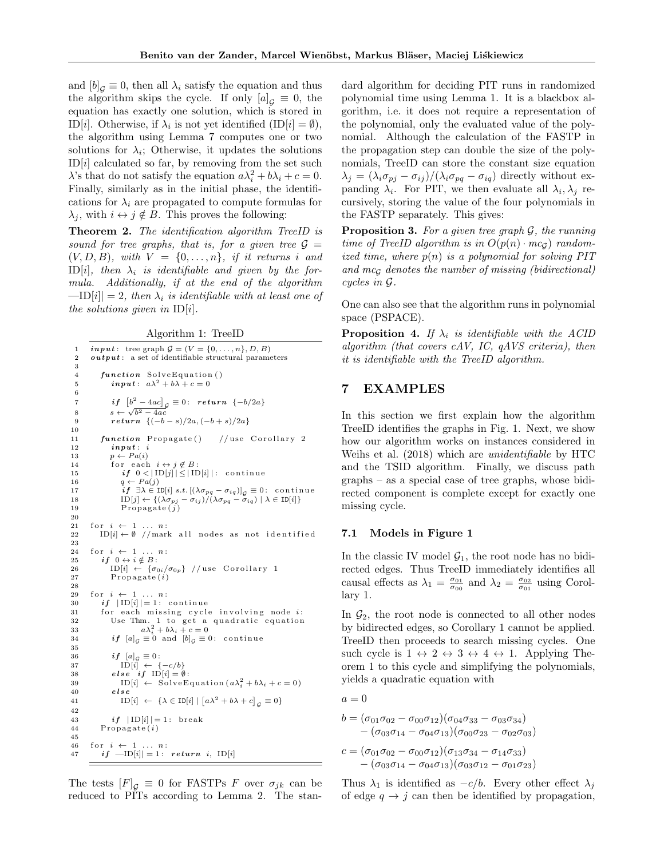and  $[b]_G \equiv 0$ , then all  $\lambda_i$  satisfy the equation and thus the algorithm skips the cycle. If only  $[a]_G \equiv 0$ , the equation has exactly one solution, which is stored in ID[i]. Otherwise, if  $\lambda_i$  is not yet identified  $(ID[i] = \emptyset)$ , the algorithm using Lemma 7 computes one or two solutions for  $\lambda_i$ ; Otherwise, it updates the solutions  $ID[i]$  calculated so far, by removing from the set such  $\lambda$ 's that do not satisfy the equation  $a\lambda_i^2 + b\lambda_i + c = 0$ . Finally, similarly as in the initial phase, the identifications for  $\lambda_i$  are propagated to compute formulas for  $\lambda_i$ , with  $i \leftrightarrow j \notin B$ . This proves the following:

Theorem 2. The identification algorithm TreeID is sound for tree graphs, that is, for a given tree  $\mathcal{G} =$  $(V, D, B)$ , with  $V = \{0, \ldots, n\}$ , if it returns i and ID[i], then  $\lambda_i$  is identifiable and given by the formula. Additionally, if at the end of the algorithm  $-\text{ID}[i]| = 2$ , then  $\lambda_i$  is identifiable with at least one of the solutions given in  $ID[i]$ .

Algorithm 1: TreeID

```
1 input: tree graph G = (V = \{0, ..., n\}, D, B)<br>2 output: a set of identifiable structural parameters
       output: a set of identifiable structural parameters
 3
 4 function SolveEquation()
 5 \qquad \qquad \textbf{input}: \ \ a\lambda^2 + b\lambda + c = 06
  7 if \left[b^2-4ac\right]_{\mathcal{G}}\equiv 0: return \{-b/2a\}8 s \leftarrow \sqrt{b^2 - 4ac}9 return \{(-b-s)/2a, (-b+s)/2a\}10
11 function Propagate () // use Corollary 2
12 in put : i
13 p \leftarrow Pa(i)14 for each i \leftrightarrow j \not\in B:<br>
15 if \ 0 < |\text{ID}[j]| \leq |\text{ID}[i]|: continue
16 q \leftarrow Pa(j)17 i \in \mathcal{J} i \mathcal{J} \in \text{ID}[i] s.t. [(\lambda \sigma_{pq} - \sigma_{iq})]_G = 0: continue<br>
18 ID[i] \leftarrow \{(\lambda \sigma_{ni} - \sigma_{ii}) / (\lambda \sigma_{nq} - \sigma_{ia}) | \lambda \in ID[i] \}\text{ID}[j] \leftarrow \{(\lambda \sigma_{pj} - \sigma_{ij})/(\lambda \sigma_{pq} - \sigma_{iq}) \mid \lambda \in \text{ID}[i]\}19 Propagate (j)20
21 for i \leftarrow 1 \ldots n:<br>22 ID[i \leftarrow \emptyset //mark all nodes as not identified
23
24 for i \leftarrow 1 \dots n:<br>25 if 0 \leftrightarrow i \notin B:
26 ID[i] \leftarrow {\sigma_{0i}/\sigma_{0p}} // use Corollary 1<br>27 Propagate (i)
               Propagate (i)28
29 for i \leftarrow 1 \ldots n:
30 if |ID[i]| = 1: continue<br>31 for each missing cycle
                  each missing cycle involving node i:
32 Use Thm. 1 to get a quadratic equation<br>33 a\lambda_i^2 + b\lambda_i + c = 0<br>34 if [a]_G \equiv 0 and [b]_G \equiv 0: continue
35
36 if [a]_G \equiv 0:<br>
37 ID[i] \leftarrow \{-c/b\}<br>
38 else if ID[i] = \emptyset:39 ID[i] \leftarrow SolveEquation(a\lambda_i^2 + b\lambda_i + c = 0)40 else
41 \text{ID}[i] \leftarrow {\lambda \in \text{ID}[i] | [a\lambda^2 + b\lambda + c]}_g \equiv 042
43 if |ID[i]| = 1: break
44 Propagate(i)45
46 for i \leftarrow 1 \ldots n:
47 if -I[D[i]] = 1: return i, ID[i]
```
The tests  $[F]_G \equiv 0$  for FASTPs F over  $\sigma_{jk}$  can be reduced to PITs according to Lemma 2. The standard algorithm for deciding PIT runs in randomized polynomial time using Lemma 1. It is a blackbox algorithm, i.e. it does not require a representation of the polynomial, only the evaluated value of the polynomial. Although the calculation of the FASTP in the propagation step can double the size of the polynomials, TreeID can store the constant size equation  $\lambda_j = (\lambda_i \sigma_{pj} - \sigma_{ij})/(\lambda_i \sigma_{pq} - \sigma_{iq})$  directly without expanding  $\lambda_i$ . For PIT, we then evaluate all  $\lambda_i, \lambda_j$  recursively, storing the value of the four polynomials in the FASTP separately. This gives:

**Proposition 3.** For a given tree graph  $\mathcal{G}$ , the running time of TreeID algorithm is in  $O(p(n) \cdot mc_G)$  randomized time, where  $p(n)$  is a polynomial for solving PIT and mc<sub>G</sub> denotes the number of missing (bidirectional) cycles in G.

One can also see that the algorithm runs in polynomial space (PSPACE).

**Proposition 4.** If  $\lambda_i$  is identifiable with the ACID algorithm (that covers cAV, IC, qAVS criteria), then it is identifiable with the TreeID algorithm.

# 7 EXAMPLES

In this section we first explain how the algorithm TreeID identifies the graphs in Fig. 1. Next, we show how our algorithm works on instances considered in Weihs et al. (2018) which are unidentifiable by HTC and the TSID algorithm. Finally, we discuss path graphs – as a special case of tree graphs, whose bidirected component is complete except for exactly one missing cycle.

#### 7.1 Models in Figure 1

In the classic IV model  $\mathcal{G}_1$ , the root node has no bidirected edges. Thus TreeID immediately identifies all causal effects as  $\lambda_1 = \frac{\sigma_{01}}{\sigma_{00}}$  and  $\lambda_2 = \frac{\sigma_{02}}{\sigma_{01}}$  using Corollary 1.

In  $\mathcal{G}_2$ , the root node is connected to all other nodes by bidirected edges, so Corollary 1 cannot be applied. TreeID then proceeds to search missing cycles. One such cycle is  $1 \leftrightarrow 2 \leftrightarrow 3 \leftrightarrow 4 \leftrightarrow 1$ . Applying Theorem 1 to this cycle and simplifying the polynomials, yields a quadratic equation with

$$
a = 0
$$

$$
b = (\sigma_{01}\sigma_{02} - \sigma_{00}\sigma_{12})(\sigma_{04}\sigma_{33} - \sigma_{03}\sigma_{34})
$$
  
- (\sigma\_{03}\sigma\_{14} - \sigma\_{04}\sigma\_{13})(\sigma\_{00}\sigma\_{23} - \sigma\_{02}\sigma\_{03})  

$$
c = (\sigma_{01}\sigma_{02} - \sigma_{00}\sigma_{12})(\sigma_{13}\sigma_{34} - \sigma_{14}\sigma_{33})
$$
  
- (\sigma\_{03}\sigma\_{14} - \sigma\_{04}\sigma\_{13})(\sigma\_{03}\sigma\_{12} - \sigma\_{01}\sigma\_{23})

Thus  $\lambda_1$  is identified as  $-c/b$ . Every other effect  $\lambda_i$ of edge  $q \rightarrow j$  can then be identified by propagation,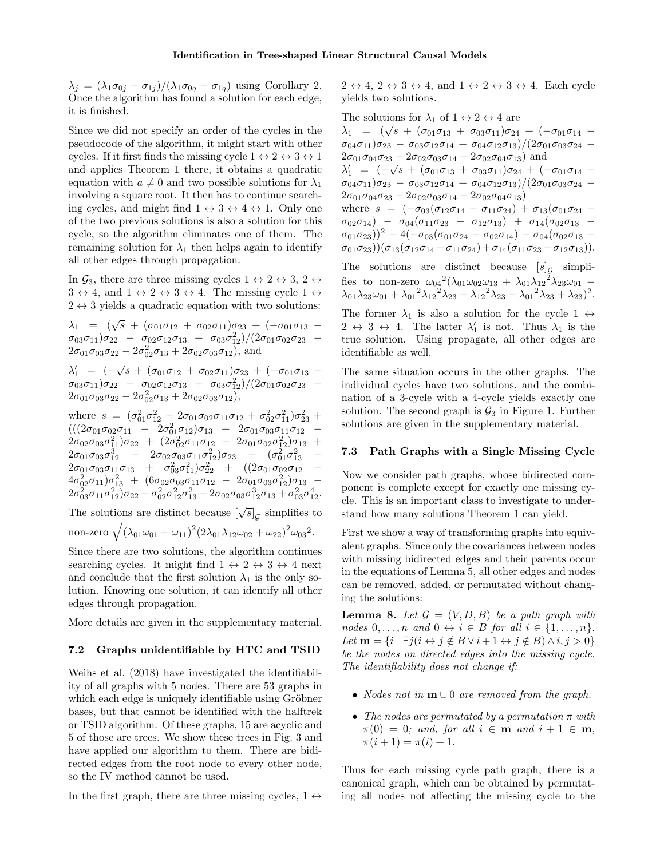$\lambda_j = (\lambda_1 \sigma_{0j} - \sigma_{1j})/(\lambda_1 \sigma_{0q} - \sigma_{1q})$  using Corollary 2. Once the algorithm has found a solution for each edge, it is finished.

Since we did not specify an order of the cycles in the pseudocode of the algorithm, it might start with other cycles. If it first finds the missing cycle  $1 \leftrightarrow 2 \leftrightarrow 3 \leftrightarrow 1$ and applies Theorem 1 there, it obtains a quadratic equation with  $a \neq 0$  and two possible solutions for  $\lambda_1$ involving a square root. It then has to continue searching cycles, and might find  $1 \leftrightarrow 3 \leftrightarrow 4 \leftrightarrow 1$ . Only one of the two previous solutions is also a solution for this cycle, so the algorithm eliminates one of them. The remaining solution for  $\lambda_1$  then helps again to identify all other edges through propagation.

In  $\mathcal{G}_3$ , there are three missing cycles  $1 \leftrightarrow 2 \leftrightarrow 3$ ,  $2 \leftrightarrow$  $3 \leftrightarrow 4$ , and  $1 \leftrightarrow 2 \leftrightarrow 3 \leftrightarrow 4$ . The missing cycle  $1 \leftrightarrow$  $2 \leftrightarrow 3$  yields a quadratic equation with two solutions:

 $\lambda_1$  =  $(\sqrt{s} + (\sigma_{01}\sigma_{12} + \sigma_{02}\sigma_{11})\sigma_{23} + (-\sigma_{01}\sigma_{13} \sigma_{03}\sigma_{11})\sigma_{22}$  –  $\sigma_{02}\sigma_{12}\sigma_{13}$  +  $\sigma_{03}\sigma_{12}^2)/(2\sigma_{01}\sigma_{02}\sigma_{23}$  –  $2\sigma_{01}\sigma_{03}\sigma_{22} - 2\sigma_{02}^2\sigma_{13} + 2\sigma_{02}\sigma_{03}\sigma_{12}$ ), and

 $\lambda'_1$  =  $(-\sqrt{s} + (\sigma_{01}\sigma_{12} + \sigma_{02}\sigma_{11})\sigma_{23} + (-\sigma_{01}\sigma_{13} \sigma_{03}\sigma_{11})\sigma_{22}$  –  $\sigma_{02}\sigma_{12}\sigma_{13}$  +  $\sigma_{03}\sigma_{12}^2)/(2\sigma_{01}\sigma_{02}\sigma_{23}$  –  $2\sigma_{01}\sigma_{03}\sigma_{22} - 2\sigma_{02}^2\sigma_{13} + 2\sigma_{02}\sigma_{03}\sigma_{12}),$ 

where  $s = (\sigma_{01}^2 \sigma_{12}^2 - 2\sigma_{01} \sigma_{02} \sigma_{11} \sigma_{12} + \sigma_{02}^2 \sigma_{11}^2) \sigma_{23}^2$  +  $(((2\sigma_{01}\sigma_{02}\sigma_{11} - 2\sigma_{01}^2\sigma_{12})\sigma_{13} + 2\sigma_{01}\sigma_{03}\sigma_{11}\sigma_{12} 2\sigma_{02}\sigma_{03}\sigma_{11}^2)\sigma_{22}$  +  $(2\sigma_{02}^2\sigma_{11}\sigma_{12}$  -  $2\sigma_{01}\sigma_{02}\sigma_{12}^2)\sigma_{13}$  +  $2\sigma_{01}\sigma_{03}\sigma_{12}^3$  –  $2\sigma_{02}\sigma_{03}\sigma_{11}\sigma_{12}^2)\sigma_{23}$  +  $(\sigma_{01}^2\sigma_{13}^2$  –  $2\sigma_{01}\sigma_{03}\sigma_{11}\sigma_{13}$  +  $\sigma_{03}^2\sigma_{11}^2$ ) $\sigma_{22}^2$  +  $((2\sigma_{01}\sigma_{02}\sigma_{12}$  - $4\sigma_{02}^2\sigma_{11})\sigma_{13}^2$  +  $(6\sigma_{02}\sigma_{03}\sigma_{11}\sigma_{12}$  -  $2\sigma_{01}\sigma_{03}\sigma_{12}^2)\sigma_{13}$  - $2\sigma_{03}^2\sigma_{11}\sigma_{12}^2\big)\sigma_{22}+\sigma_{02}^2\sigma_{12}^2\sigma_{13}^2-2\sigma_{02}\sigma_{03}\sigma_{12}^3\sigma_{13}+\sigma_{03}^2\sigma_{12}^4.$ The solutions are distinct because  $[\sqrt{s}]_g$  simplifies to non-zero  $\sqrt{(\lambda_{01}\omega_{01} + \omega_{11})^2(2\lambda_{01}\lambda_{12}\omega_{02} + \omega_{22})^2\omega_{03}^2}$ .

Since there are two solutions, the algorithm continues searching cycles. It might find  $1 \leftrightarrow 2 \leftrightarrow 3 \leftrightarrow 4$  next and conclude that the first solution  $\lambda_1$  is the only solution. Knowing one solution, it can identify all other edges through propagation.

More details are given in the supplementary material.

## 7.2 Graphs unidentifiable by HTC and TSID

Weihs et al. (2018) have investigated the identifiability of all graphs with 5 nodes. There are 53 graphs in which each edge is uniquely identifiable using Gröbner bases, but that cannot be identified with the halftrek or TSID algorithm. Of these graphs, 15 are acyclic and 5 of those are trees. We show these trees in Fig. 3 and have applied our algorithm to them. There are bidirected edges from the root node to every other node, so the IV method cannot be used.

In the first graph, there are three missing cycles,  $1 \leftrightarrow$ 

 $2 \leftrightarrow 4$ ,  $2 \leftrightarrow 3 \leftrightarrow 4$ , and  $1 \leftrightarrow 2 \leftrightarrow 3 \leftrightarrow 4$ . Each cycle yields two solutions.

The solutions for  $\lambda_1$  of  $1 \leftrightarrow 2 \leftrightarrow 4$  are The solutions for  $\lambda_1$  or  $1 \leftrightarrow 2 \leftrightarrow 4$  are<br>  $\lambda_1 = (\sqrt{s} + (\sigma_{01}\sigma_{13} + \sigma_{03}\sigma_{11})\sigma_{24} + (-\sigma_{01}\sigma_{14} \sigma_{04}\sigma_{11}\sigma_{23} - \sigma_{03}\sigma_{12}\sigma_{14} + \sigma_{04}\sigma_{12}\sigma_{13})/(2\sigma_{01}\sigma_{03}\sigma_{24} 2\sigma_{01}\sigma_{04}\sigma_{23} - 2\sigma_{02}\sigma_{03}\sigma_{14} + 2\sigma_{02}\sigma_{04}\sigma_{13}$  and  $λ'_1 = (-\sqrt{s} + (\sigma_{01}\sigma_{13} + \sigma_{03}\sigma_{11})\sigma_{24} + (-\sigma_{01}\sigma_{14} \sigma_{04}\sigma_{11}$ ) $\sigma_{23}$  –  $\sigma_{03}\sigma_{12}\sigma_{14}$  +  $\sigma_{04}\sigma_{12}\sigma_{13})/(2\sigma_{01}\sigma_{03}\sigma_{24}$  –  $2\sigma_{01}\sigma_{04}\sigma_{23} - 2\sigma_{02}\sigma_{03}\sigma_{14} + 2\sigma_{02}\sigma_{04}\sigma_{13})$ where  $s = (-\sigma_{03}(\sigma_{12}\sigma_{14} - \sigma_{11}\sigma_{24}) + \sigma_{13}(\sigma_{01}\sigma_{24} \sigma_{02}\sigma_{14})$  –  $\sigma_{04}(\sigma_{11}\sigma_{23}$  –  $\sigma_{12}\sigma_{13})$  +  $\sigma_{14}(\sigma_{02}\sigma_{13}$  –  $(\sigma_{01}\sigma_{23}))^2 - 4(-\sigma_{03}(\sigma_{01}\sigma_{24} - \sigma_{02}\sigma_{14}) - \sigma_{04}(\sigma_{02}\sigma_{13} - \sigma_{03}\sigma_{14}))$  $(\sigma_{01}\sigma_{23})$ ) $(\sigma_{13}(\sigma_{12}\sigma_{14}-\sigma_{11}\sigma_{24})+\sigma_{14}(\sigma_{11}\sigma_{23}-\sigma_{12}\sigma_{13})).$ The solutions are distinct because  $[s]_G$  simpli-

fies to non-zero  $\omega_{04}{}^2(\lambda_{01}\omega_{02}\omega_{13} + \lambda_{01}\lambda_{12}{}^2\lambda_{23}\omega_{01} \lambda_{01}\lambda_{23}\omega_{01} + {\lambda_{01}}^2\lambda_{12}^2\lambda_{23} - {\lambda_{12}}^2\lambda_{23} - {\lambda_{01}}^2\lambda_{23} + \lambda_{23})^2.$ 

The former  $\lambda_1$  is also a solution for the cycle 1  $\leftrightarrow$  $2 \leftrightarrow 3 \leftrightarrow 4$ . The latter  $\lambda'_1$  is not. Thus  $\lambda_1$  is the true solution. Using propagate, all other edges are identifiable as well.

The same situation occurs in the other graphs. The individual cycles have two solutions, and the combination of a 3-cycle with a 4-cycle yields exactly one solution. The second graph is  $\mathcal{G}_3$  in Figure 1. Further solutions are given in the supplementary material.

#### 7.3 Path Graphs with a Single Missing Cycle

Now we consider path graphs, whose bidirected component is complete except for exactly one missing cycle. This is an important class to investigate to understand how many solutions Theorem 1 can yield.

First we show a way of transforming graphs into equivalent graphs. Since only the covariances between nodes with missing bidirected edges and their parents occur in the equations of Lemma 5, all other edges and nodes can be removed, added, or permutated without changing the solutions:

**Lemma 8.** Let  $\mathcal{G} = (V, D, B)$  be a path graph with nodes  $0, \ldots, n$  and  $0 \leftrightarrow i \in B$  for all  $i \in \{1, \ldots, n\}.$ Let  $\mathbf{m} = \{i \mid \exists j (i \leftrightarrow j \notin B \lor i + 1 \leftrightarrow j \notin B) \land i, j > 0\}$ be the nodes on directed edges into the missing cycle. The identifiability does not change if:

- *Nodes not in*  $m \cup 0$  *are removed from the graph.*
- The nodes are permutated by a permutation  $\pi$  with  $\pi(0) = 0$ ; and, for all  $i \in \mathbf{m}$  and  $i + 1 \in \mathbf{m}$ ,  $\pi(i+1) = \pi(i) + 1.$

Thus for each missing cycle path graph, there is a canonical graph, which can be obtained by permutating all nodes not affecting the missing cycle to the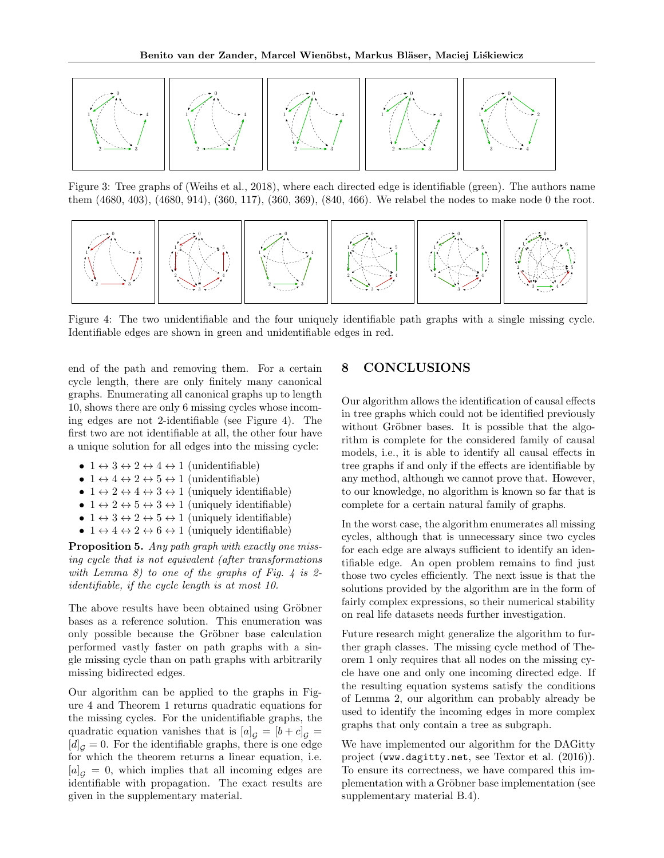

Figure 3: Tree graphs of (Weihs et al., 2018), where each directed edge is identifiable (green). The authors name them (4680, 403), (4680, 914), (360, 117), (360, 369), (840, 466). We relabel the nodes to make node 0 the root.



Figure 4: The two unidentifiable and the four uniquely identifiable path graphs with a single missing cycle. Identifiable edges are shown in green and unidentifiable edges in red.

end of the path and removing them. For a certain cycle length, there are only finitely many canonical graphs. Enumerating all canonical graphs up to length 10, shows there are only 6 missing cycles whose incoming edges are not 2-identifiable (see Figure 4). The first two are not identifiable at all, the other four have a unique solution for all edges into the missing cycle:

- $1 \leftrightarrow 3 \leftrightarrow 2 \leftrightarrow 4 \leftrightarrow 1$  (unidentifiable)
- $1 \leftrightarrow 4 \leftrightarrow 2 \leftrightarrow 5 \leftrightarrow 1$  (unidentifiable)
- $1 \leftrightarrow 2 \leftrightarrow 4 \leftrightarrow 3 \leftrightarrow 1$  (uniquely identifiable)
- $1 \leftrightarrow 2 \leftrightarrow 5 \leftrightarrow 3 \leftrightarrow 1$  (uniquely identifiable)
- $1 \leftrightarrow 3 \leftrightarrow 2 \leftrightarrow 5 \leftrightarrow 1$  (uniquely identifiable)
- $1 \leftrightarrow 4 \leftrightarrow 2 \leftrightarrow 6 \leftrightarrow 1$  (uniquely identifiable)

Proposition 5. Any path graph with exactly one missing cycle that is not equivalent (after transformations with Lemma 8) to one of the graphs of Fig. 4 is 2identifiable, if the cycle length is at most 10.

The above results have been obtained using Gröbner bases as a reference solution. This enumeration was only possible because the Gröbner base calculation performed vastly faster on path graphs with a single missing cycle than on path graphs with arbitrarily missing bidirected edges.

Our algorithm can be applied to the graphs in Figure 4 and Theorem 1 returns quadratic equations for the missing cycles. For the unidentifiable graphs, the quadratic equation vanishes that is  $[a]_G = [b+c]_G =$  $[d]_G = 0$ . For the identifiable graphs, there is one edge for which the theorem returns a linear equation, i.e.  $[a]_G = 0$ , which implies that all incoming edges are identifiable with propagation. The exact results are given in the supplementary material.

# 8 CONCLUSIONS

Our algorithm allows the identification of causal effects in tree graphs which could not be identified previously without Gröbner bases. It is possible that the algorithm is complete for the considered family of causal models, i.e., it is able to identify all causal effects in tree graphs if and only if the effects are identifiable by any method, although we cannot prove that. However, to our knowledge, no algorithm is known so far that is complete for a certain natural family of graphs.

In the worst case, the algorithm enumerates all missing cycles, although that is unnecessary since two cycles for each edge are always sufficient to identify an identifiable edge. An open problem remains to find just those two cycles efficiently. The next issue is that the solutions provided by the algorithm are in the form of fairly complex expressions, so their numerical stability on real life datasets needs further investigation.

Future research might generalize the algorithm to further graph classes. The missing cycle method of Theorem 1 only requires that all nodes on the missing cycle have one and only one incoming directed edge. If the resulting equation systems satisfy the conditions of Lemma 2, our algorithm can probably already be used to identify the incoming edges in more complex graphs that only contain a tree as subgraph.

We have implemented our algorithm for the DAGitty project (www.dagitty.net, see Textor et al. (2016)). To ensure its correctness, we have compared this implementation with a Gröbner base implementation (see supplementary material B.4).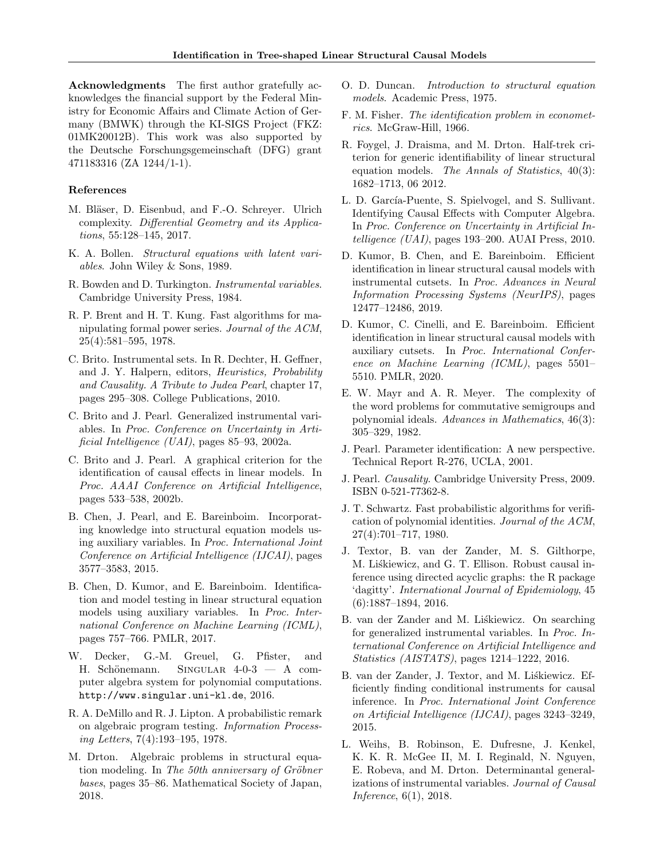Acknowledgments The first author gratefully acknowledges the financial support by the Federal Ministry for Economic Affairs and Climate Action of Germany (BMWK) through the KI-SIGS Project (FKZ: 01MK20012B). This work was also supported by the Deutsche Forschungsgemeinschaft (DFG) grant 471183316 (ZA 1244/1-1).

#### References

- M. Bläser, D. Eisenbud, and F.-O. Schreyer. Ulrich complexity. Differential Geometry and its Applications, 55:128–145, 2017.
- K. A. Bollen. Structural equations with latent variables. John Wiley & Sons, 1989.
- R. Bowden and D. Turkington. Instrumental variables. Cambridge University Press, 1984.
- R. P. Brent and H. T. Kung. Fast algorithms for manipulating formal power series. Journal of the ACM, 25(4):581–595, 1978.
- C. Brito. Instrumental sets. In R. Dechter, H. Geffner, and J. Y. Halpern, editors, Heuristics, Probability and Causality. A Tribute to Judea Pearl, chapter 17, pages 295–308. College Publications, 2010.
- C. Brito and J. Pearl. Generalized instrumental variables. In Proc. Conference on Uncertainty in Artificial Intelligence (UAI), pages 85–93, 2002a.
- C. Brito and J. Pearl. A graphical criterion for the identification of causal effects in linear models. In Proc. AAAI Conference on Artificial Intelligence, pages 533–538, 2002b.
- B. Chen, J. Pearl, and E. Bareinboim. Incorporating knowledge into structural equation models using auxiliary variables. In Proc. International Joint Conference on Artificial Intelligence (IJCAI), pages 3577–3583, 2015.
- B. Chen, D. Kumor, and E. Bareinboim. Identification and model testing in linear structural equation models using auxiliary variables. In Proc. International Conference on Machine Learning (ICML), pages 757–766. PMLR, 2017.
- W. Decker, G.-M. Greuel, G. Pfister, and H. Schönemann. SINGULAR  $4-0-3$  – A computer algebra system for polynomial computations. http://www.singular.uni-kl.de, 2016.
- R. A. DeMillo and R. J. Lipton. A probabilistic remark on algebraic program testing. Information Processing Letters, 7(4):193–195, 1978.
- M. Drton. Algebraic problems in structural equation modeling. In The 50th anniversary of Gröbner bases, pages 35–86. Mathematical Society of Japan, 2018.
- O. D. Duncan. Introduction to structural equation models. Academic Press, 1975.
- F. M. Fisher. The identification problem in econometrics. McGraw-Hill, 1966.
- R. Foygel, J. Draisma, and M. Drton. Half-trek criterion for generic identifiability of linear structural equation models. The Annals of Statistics, 40(3): 1682–1713, 06 2012.
- L. D. García-Puente, S. Spielvogel, and S. Sullivant. Identifying Causal Effects with Computer Algebra. In Proc. Conference on Uncertainty in Artificial Intelligence (UAI), pages 193–200. AUAI Press, 2010.
- D. Kumor, B. Chen, and E. Bareinboim. Efficient identification in linear structural causal models with instrumental cutsets. In Proc. Advances in Neural Information Processing Systems (NeurIPS), pages 12477–12486, 2019.
- D. Kumor, C. Cinelli, and E. Bareinboim. Efficient identification in linear structural causal models with auxiliary cutsets. In Proc. International Conference on Machine Learning (ICML), pages 5501– 5510. PMLR, 2020.
- E. W. Mayr and A. R. Meyer. The complexity of the word problems for commutative semigroups and polynomial ideals. Advances in Mathematics, 46(3): 305–329, 1982.
- J. Pearl. Parameter identification: A new perspective. Technical Report R-276, UCLA, 2001.
- J. Pearl. Causality. Cambridge University Press, 2009. ISBN 0-521-77362-8.
- J. T. Schwartz. Fast probabilistic algorithms for verification of polynomial identities. Journal of the ACM, 27(4):701–717, 1980.
- J. Textor, B. van der Zander, M. S. Gilthorpe, M. Liśkiewicz, and G. T. Ellison. Robust causal inference using directed acyclic graphs: the R package 'dagitty'. International Journal of Epidemiology, 45 (6):1887–1894, 2016.
- B. van der Zander and M. Liskiewicz. On searching for generalized instrumental variables. In Proc. International Conference on Artificial Intelligence and Statistics (AISTATS), pages 1214–1222, 2016.
- B. van der Zander, J. Textor, and M. Liskiewicz. Efficiently finding conditional instruments for causal inference. In Proc. International Joint Conference on Artificial Intelligence (IJCAI), pages 3243–3249, 2015.
- L. Weihs, B. Robinson, E. Dufresne, J. Kenkel, K. K. R. McGee II, M. I. Reginald, N. Nguyen, E. Robeva, and M. Drton. Determinantal generalizations of instrumental variables. Journal of Causal Inference, 6(1), 2018.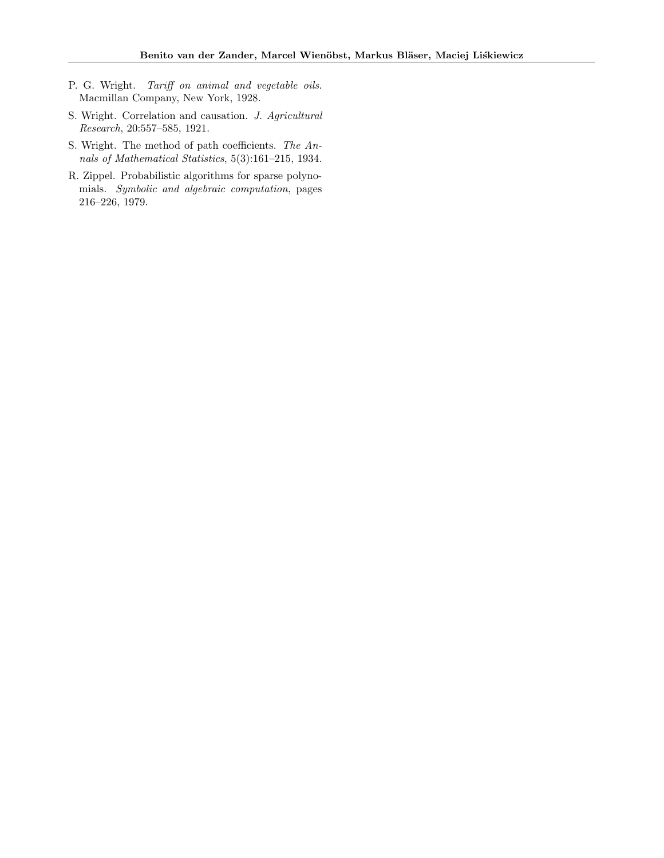- P. G. Wright. Tariff on animal and vegetable oils. Macmillan Company, New York, 1928.
- S. Wright. Correlation and causation. J. Agricultural Research, 20:557–585, 1921.
- S. Wright. The method of path coefficients. The Annals of Mathematical Statistics, 5(3):161–215, 1934.
- R. Zippel. Probabilistic algorithms for sparse polynomials. Symbolic and algebraic computation, pages 216–226, 1979.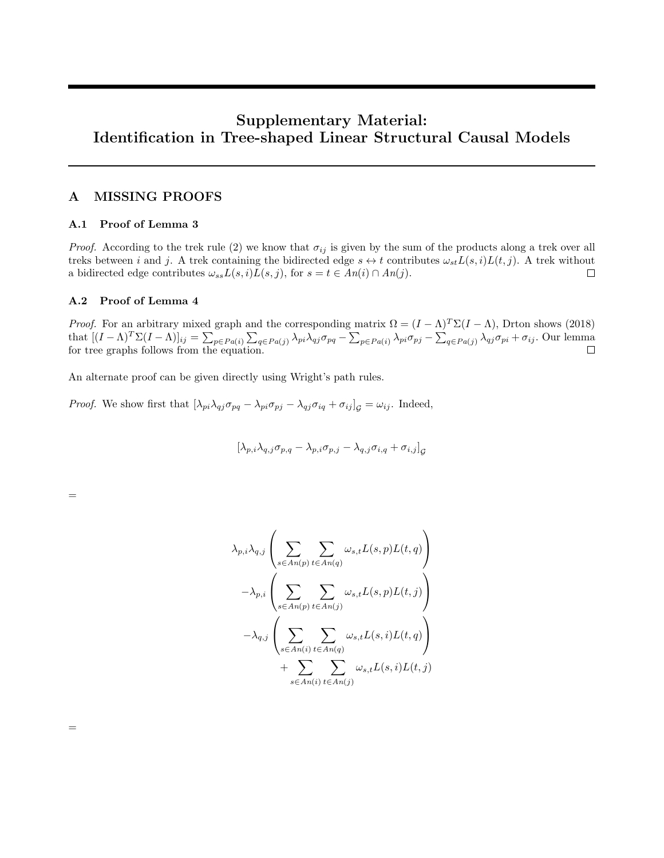# Supplementary Material: Identification in Tree-shaped Linear Structural Causal Models

# A MISSING PROOFS

## A.1 Proof of Lemma 3

*Proof.* According to the trek rule (2) we know that  $\sigma_{ij}$  is given by the sum of the products along a trek over all treks between i and j. A trek containing the bidirected edge  $s \leftrightarrow t$  contributes  $\omega_{st}L(s, i)L(t, j)$ . A trek without a bidirected edge contributes  $\omega_{ss}L(s, i)L(s, j)$ , for  $s = t \in An(i) \cap An(j)$ .  $\Box$ 

# A.2 Proof of Lemma 4

=

=

*Proof.* For an arbitrary mixed graph and the corresponding matrix  $\Omega = (I - \Lambda)^T \Sigma (I - \Lambda)$ , Drton shows (2018) that  $[(I - \Lambda)^T \Sigma (I - \Lambda)]_{ij} = \sum_{p \in Pa(i)} \sum_{q \in Pa(j)} \lambda_{pi} \lambda_{qj} \sigma_{pq} - \sum_{p \in Pa(i)} \lambda_{pi} \sigma_{pj} - \sum_{q \in Pa(j)} \lambda_{qj} \sigma_{pi} + \sigma_{ij}$ . Our lemma for tree graphs follows from the equation.

An alternate proof can be given directly using Wright's path rules.

*Proof.* We show first that  $[\lambda_{pi} \lambda_{qj} \sigma_{pq} - \lambda_{pi} \sigma_{pj} - \lambda_{qj} \sigma_{iq} + \sigma_{ij}]_q = \omega_{ij}$ . Indeed,

$$
[\lambda_{p,i}\lambda_{q,j}\sigma_{p,q}-\lambda_{p,i}\sigma_{p,j}-\lambda_{q,j}\sigma_{i,q}+\sigma_{i,j}]_{\mathcal{G}}
$$

$$
\lambda_{p,i} \lambda_{q,j} \left( \sum_{s \in An(p)} \sum_{t \in An(q)} \omega_{s,t} L(s,p) L(t,q) \right)
$$

$$
- \lambda_{p,i} \left( \sum_{s \in An(p)} \sum_{t \in An(j)} \omega_{s,t} L(s,p) L(t,j) \right)
$$

$$
- \lambda_{q,j} \left( \sum_{s \in An(i)} \sum_{t \in An(q)} \omega_{s,t} L(s,i) L(t,q) \right)
$$

$$
+ \sum_{s \in An(i)} \sum_{t \in An(j)} \omega_{s,t} L(s,i) L(t,j)
$$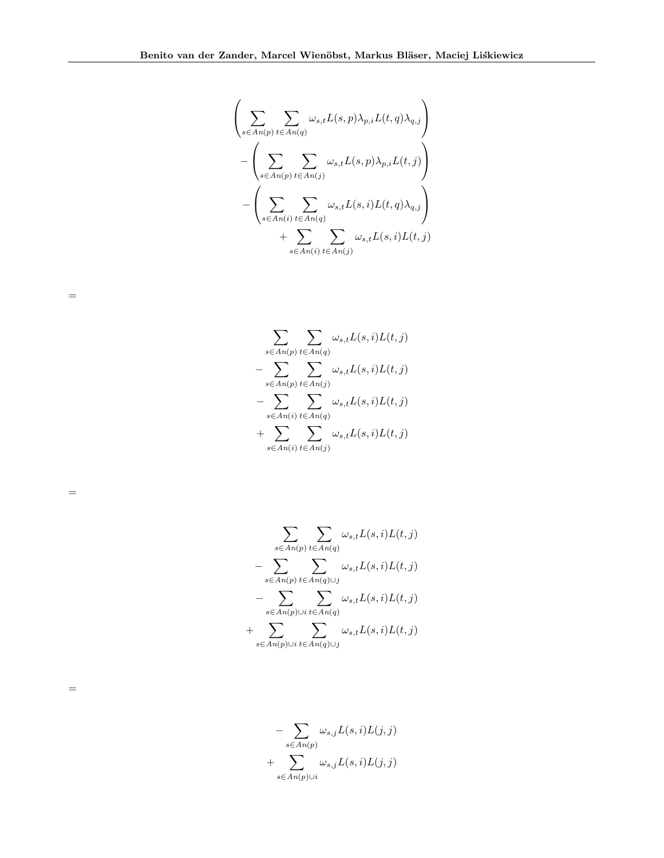$$
\left(\sum_{s \in An(p)} \sum_{t \in An(q)} \omega_{s,t} L(s,p) \lambda_{p,i} L(t,q) \lambda_{q,j}\right) - \left(\sum_{s \in An(p)} \sum_{t \in An(j)} \omega_{s,t} L(s,p) \lambda_{p,i} L(t,j)\right) - \left(\sum_{s \in An(i)} \sum_{t \in An(q)} \omega_{s,t} L(s,i) L(t,q) \lambda_{q,j}\right) + \sum_{s \in An(i)} \sum_{t \in An(j)} \omega_{s,t} L(s,i) L(t,j)
$$

$$
\sum_{s \in An(p)} \sum_{t \in An(q)} \omega_{s,t} L(s,i) L(t,j)
$$
  
- 
$$
\sum_{s \in An(p)} \sum_{t \in An(j)} \omega_{s,t} L(s,i) L(t,j)
$$
  
- 
$$
\sum_{s \in An(i)} \sum_{t \in An(q)} \omega_{s,t} L(s,i) L(t,j)
$$
  
+ 
$$
\sum_{s \in An(i)} \sum_{t \in An(j)} \omega_{s,t} L(s,i) L(t,j)
$$

=

=

=

$$
\sum_{s \in An(p)} \sum_{t \in An(q)} \omega_{s,t} L(s,i) L(t,j)
$$
  
- 
$$
\sum_{s \in An(p)} \sum_{t \in An(q) \cup j} \omega_{s,t} L(s,i) L(t,j)
$$
  
- 
$$
\sum_{s \in An(p) \cup i} \sum_{t \in An(q)} \omega_{s,t} L(s,i) L(t,j)
$$
  
+ 
$$
\sum_{s \in An(p) \cup i} \sum_{t \in An(q) \cup j} \omega_{s,t} L(s,i) L(t,j)
$$

$$
- \sum_{s \in An(p)} \omega_{s,j} L(s,i) L(j,j) + \sum_{s \in An(p) \cup i} \omega_{s,j} L(s,i) L(j,j)
$$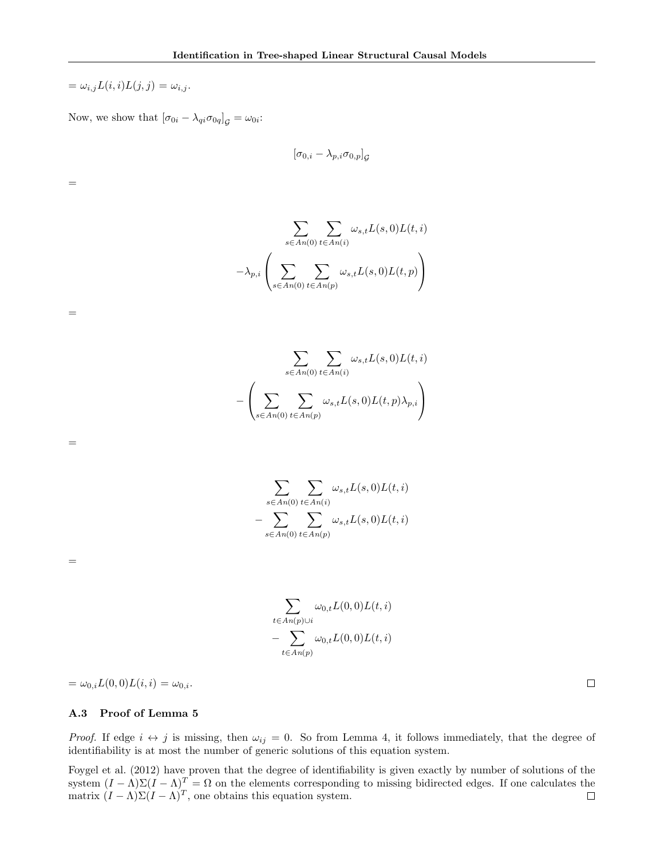$=\omega_{i,j}L(i,i)L(j,j) = \omega_{i,j}.$ 

=

=

=

=

Now, we show that  $[\sigma_{0i} - \lambda_{qi}\sigma_{0q}]_G = \omega_{0i}$ :

$$
[\sigma_{0,i}-\lambda_{p,i}\sigma_{0,p}]_{\mathcal{G}}
$$

$$
\sum_{s \in An(0)} \sum_{t \in An(i)} \omega_{s,t} L(s,0) L(t,i)
$$

$$
-\lambda_{p,i} \left( \sum_{s \in An(0)} \sum_{t \in An(p)} \omega_{s,t} L(s,0) L(t,p) \right)
$$

$$
\sum_{s \in An(0)} \sum_{t \in An(i)} \omega_{s,t} L(s,0) L(t,i)
$$

$$
- \left( \sum_{s \in An(0)} \sum_{t \in An(p)} \omega_{s,t} L(s,0) L(t,p) \lambda_{p,i} \right)
$$

$$
\sum_{s \in An(0)} \sum_{t \in An(i)} \omega_{s,t} L(s,0) L(t,i)
$$

$$
- \sum_{s \in An(0)} \sum_{t \in An(p)} \omega_{s,t} L(s,0) L(t,i)
$$

 $\sum$ t∈ $An(p)$ ∪i  $\omega_{0,t}L(0,0)L(t,i)$ − X  $t \in An(p)$  $\omega_{0,t}L(0,0)L(t,i)$ 

 $=\omega_{0,i}L(0,0)L(i,i)=\omega_{0,i}.$ 

# A.3 Proof of Lemma 5

Proof. If edge  $i \leftrightarrow j$  is missing, then  $\omega_{ij} = 0$ . So from Lemma 4, it follows immediately, that the degree of identifiability is at most the number of generic solutions of this equation system.

Foygel et al. (2012) have proven that the degree of identifiability is given exactly by number of solutions of the system  $(I - \Lambda)\Sigma (I - \Lambda)^T = \Omega$  on the elements corresponding to missing bidirected edges. If one calculates the matrix  $(I - \Lambda)\Sigma (I - \Lambda)^T$ , one obtains this equation system.

 $\Box$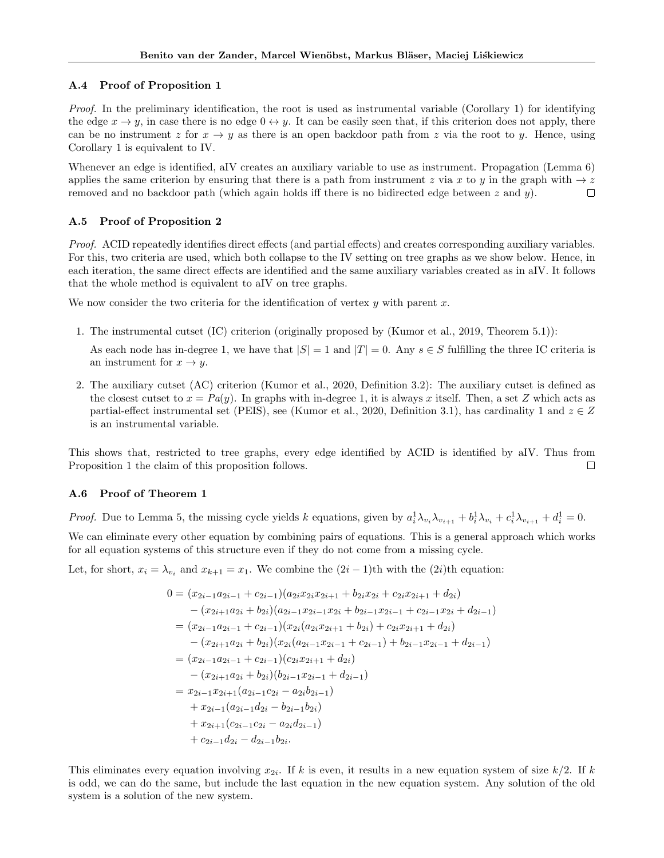#### A.4 Proof of Proposition 1

Proof. In the preliminary identification, the root is used as instrumental variable (Corollary 1) for identifying the edge  $x \to y$ , in case there is no edge  $0 \leftrightarrow y$ . It can be easily seen that, if this criterion does not apply, there can be no instrument z for  $x \to y$  as there is an open backdoor path from z via the root to y. Hence, using Corollary 1 is equivalent to IV.

Whenever an edge is identified, aIV creates an auxiliary variable to use as instrument. Propagation (Lemma 6) applies the same criterion by ensuring that there is a path from instrument z via x to y in the graph with  $\rightarrow z$ removed and no backdoor path (which again holds iff there is no bidirected edge between  $z$  and  $y$ ).  $\Box$ 

## A.5 Proof of Proposition 2

Proof. ACID repeatedly identifies direct effects (and partial effects) and creates corresponding auxiliary variables. For this, two criteria are used, which both collapse to the IV setting on tree graphs as we show below. Hence, in each iteration, the same direct effects are identified and the same auxiliary variables created as in aIV. It follows that the whole method is equivalent to aIV on tree graphs.

We now consider the two criteria for the identification of vertex  $y$  with parent  $x$ .

1. The instrumental cutset (IC) criterion (originally proposed by (Kumor et al., 2019, Theorem 5.1)):

As each node has in-degree 1, we have that  $|S| = 1$  and  $|T| = 0$ . Any  $s \in S$  fulfilling the three IC criteria is an instrument for  $x \to y$ .

2. The auxiliary cutset (AC) criterion (Kumor et al., 2020, Definition 3.2): The auxiliary cutset is defined as the closest cutset to  $x = Pa(y)$ . In graphs with in-degree 1, it is always x itself. Then, a set Z which acts as partial-effect instrumental set (PEIS), see (Kumor et al., 2020, Definition 3.1), has cardinality 1 and  $z \in Z$ is an instrumental variable.

This shows that, restricted to tree graphs, every edge identified by ACID is identified by aIV. Thus from Proposition 1 the claim of this proposition follows.  $\Box$ 

#### A.6 Proof of Theorem 1

*Proof.* Due to Lemma 5, the missing cycle yields k equations, given by  $a_i^1 \lambda_{v_i} \lambda_{v_{i+1}} + b_i^1 \lambda_{v_i} + c_i^1 \lambda_{v_{i+1}} + d_i^1 = 0$ .

We can eliminate every other equation by combining pairs of equations. This is a general approach which works for all equation systems of this structure even if they do not come from a missing cycle.

Let, for short,  $x_i = \lambda_{v_i}$  and  $x_{k+1} = x_1$ . We combine the  $(2i - 1)$ th with the  $(2i)$ th equation:

$$
0 = (x_{2i-1}a_{2i-1} + c_{2i-1})(a_{2i}x_{2i}x_{2i+1} + b_{2i}x_{2i} + c_{2i}x_{2i+1} + d_{2i})
$$
  
\n
$$
- (x_{2i+1}a_{2i} + b_{2i})(a_{2i-1}x_{2i-1}x_{2i} + b_{2i-1}x_{2i-1} + c_{2i-1}x_{2i} + d_{2i-1})
$$
  
\n
$$
= (x_{2i-1}a_{2i-1} + c_{2i-1})(x_{2i}(a_{2i}x_{2i+1} + b_{2i}) + c_{2i}x_{2i+1} + d_{2i})
$$
  
\n
$$
- (x_{2i+1}a_{2i} + b_{2i})(x_{2i}(a_{2i-1}x_{2i-1} + c_{2i-1}) + b_{2i-1}x_{2i-1} + d_{2i-1})
$$
  
\n
$$
= (x_{2i-1}a_{2i-1} + c_{2i-1})(c_{2i}x_{2i+1} + d_{2i})
$$
  
\n
$$
- (x_{2i+1}a_{2i} + b_{2i})(b_{2i-1}x_{2i-1} + d_{2i-1})
$$
  
\n
$$
= x_{2i-1}x_{2i+1}(a_{2i-1}c_{2i} - a_{2i}b_{2i-1})
$$
  
\n
$$
+ x_{2i-1}(a_{2i-1}d_{2i} - b_{2i-1}b_{2i})
$$
  
\n
$$
+ x_{2i+1}(c_{2i-1}c_{2i} - a_{2i}d_{2i-1})
$$
  
\n
$$
+ c_{2i-1}d_{2i} - d_{2i-1}b_{2i}.
$$

This eliminates every equation involving  $x_{2i}$ . If k is even, it results in a new equation system of size  $k/2$ . If k is odd, we can do the same, but include the last equation in the new equation system. Any solution of the old system is a solution of the new system.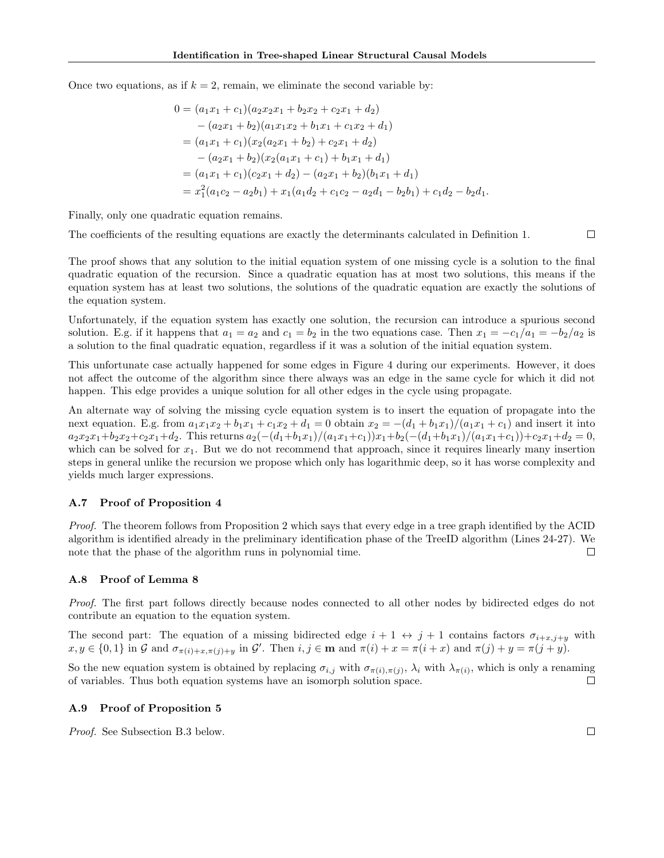Once two equations, as if  $k = 2$ , remain, we eliminate the second variable by:

$$
0 = (a_1x_1 + c_1)(a_2x_2x_1 + b_2x_2 + c_2x_1 + d_2)
$$
  
\n
$$
- (a_2x_1 + b_2)(a_1x_1x_2 + b_1x_1 + c_1x_2 + d_1)
$$
  
\n
$$
= (a_1x_1 + c_1)(x_2(a_2x_1 + b_2) + c_2x_1 + d_2)
$$
  
\n
$$
- (a_2x_1 + b_2)(x_2(a_1x_1 + c_1) + b_1x_1 + d_1)
$$
  
\n
$$
= (a_1x_1 + c_1)(c_2x_1 + d_2) - (a_2x_1 + b_2)(b_1x_1 + d_1)
$$
  
\n
$$
= x_1^2(a_1c_2 - a_2b_1) + x_1(a_1d_2 + c_1c_2 - a_2d_1 - b_2b_1) + c_1d_2 - b_2d_1.
$$

Finally, only one quadratic equation remains.

The coefficients of the resulting equations are exactly the determinants calculated in Definition 1.

The proof shows that any solution to the initial equation system of one missing cycle is a solution to the final quadratic equation of the recursion. Since a quadratic equation has at most two solutions, this means if the equation system has at least two solutions, the solutions of the quadratic equation are exactly the solutions of the equation system.

Unfortunately, if the equation system has exactly one solution, the recursion can introduce a spurious second solution. E.g. if it happens that  $a_1 = a_2$  and  $c_1 = b_2$  in the two equations case. Then  $x_1 = -c_1/a_1 = -b_2/a_2$  is a solution to the final quadratic equation, regardless if it was a solution of the initial equation system.

This unfortunate case actually happened for some edges in Figure 4 during our experiments. However, it does not affect the outcome of the algorithm since there always was an edge in the same cycle for which it did not happen. This edge provides a unique solution for all other edges in the cycle using propagate.

An alternate way of solving the missing cycle equation system is to insert the equation of propagate into the next equation. E.g. from  $a_1x_1x_2 + b_1x_1 + c_1x_2 + d_1 = 0$  obtain  $x_2 = -(d_1 + b_1x_1)/(a_1x_1 + c_1)$  and insert it into  $a_2x_2x_1+b_2x_2+c_2x_1+d_2$ . This returns  $a_2(-(d_1+b_1x_1)/(a_1x_1+c_1))x_1+b_2(-(d_1+b_1x_1)/(a_1x_1+c_1))+c_2x_1+d_2 = 0$ , which can be solved for  $x_1$ . But we do not recommend that approach, since it requires linearly many insertion steps in general unlike the recursion we propose which only has logarithmic deep, so it has worse complexity and yields much larger expressions.

#### A.7 Proof of Proposition 4

Proof. The theorem follows from Proposition 2 which says that every edge in a tree graph identified by the ACID algorithm is identified already in the preliminary identification phase of the TreeID algorithm (Lines 24-27). We note that the phase of the algorithm runs in polynomial time.  $\Box$ 

#### A.8 Proof of Lemma 8

Proof. The first part follows directly because nodes connected to all other nodes by bidirected edges do not contribute an equation to the equation system.

The second part: The equation of a missing bidirected edge  $i + 1 \leftrightarrow j + 1$  contains factors  $\sigma_{i+x,j+y}$  with  $x, y \in \{0, 1\}$  in G and  $\sigma_{\pi(i)+x,\pi(j)+y}$  in G'. Then  $i, j \in \mathbf{m}$  and  $\pi(i)+x = \pi(i+x)$  and  $\pi(j)+y = \pi(j+y)$ .

So the new equation system is obtained by replacing  $\sigma_{i,j}$  with  $\sigma_{\pi(i),\pi(j)}, \lambda_i$  with  $\lambda_{\pi(i)}$ , which is only a renaming of variables. Thus both equation systems have an isomorph solution space.  $\Box$ 

#### A.9 Proof of Proposition 5

Proof. See Subsection B.3 below.

 $\Box$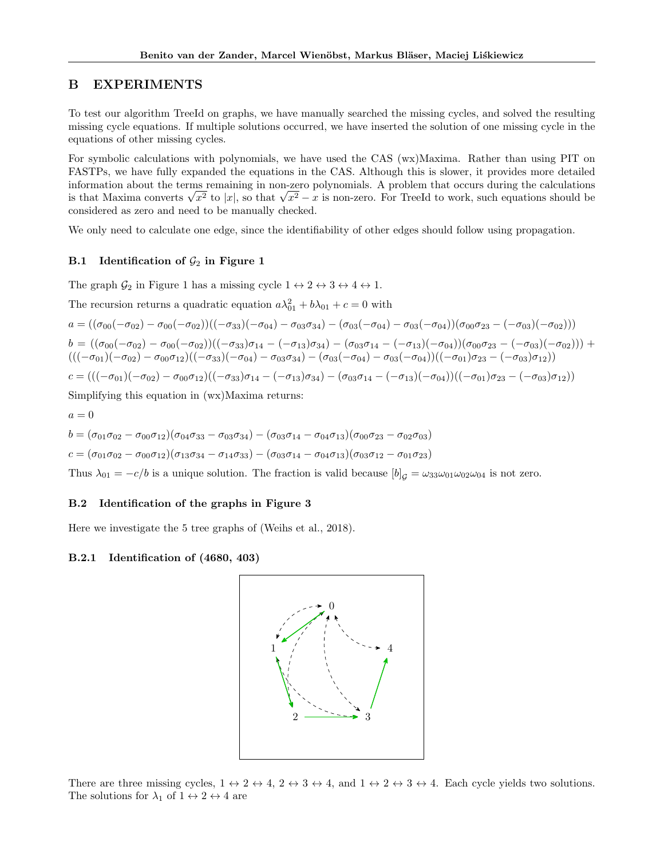# B EXPERIMENTS

To test our algorithm TreeId on graphs, we have manually searched the missing cycles, and solved the resulting missing cycle equations. If multiple solutions occurred, we have inserted the solution of one missing cycle in the equations of other missing cycles.

For symbolic calculations with polynomials, we have used the CAS (wx)Maxima. Rather than using PIT on FASTPs, we have fully expanded the equations in the CAS. Although this is slower, it provides more detailed information about the terms remaining in non-zero polynomials. A problem that occurs during the calculations information about the terms remaining in non-zero polynomials. A problem that occurs during the calculations<br>is that Maxima converts  $\sqrt{x^2}$  to  $|x|$ , so that  $\sqrt{x^2} - x$  is non-zero. For TreeId to work, such equations sho considered as zero and need to be manually checked.

We only need to calculate one edge, since the identifiability of other edges should follow using propagation.

# B.1 Identification of  $\mathcal{G}_2$  in Figure 1

The graph  $\mathcal{G}_2$  in Figure 1 has a missing cycle  $1 \leftrightarrow 2 \leftrightarrow 3 \leftrightarrow 4 \leftrightarrow 1$ .

The recursion returns a quadratic equation  $a\lambda_{01}^2 + b\lambda_{01} + c = 0$  with

$$
a = ((\sigma_{00}(-\sigma_{02}) - \sigma_{00}(-\sigma_{02}))((-\sigma_{33})(-\sigma_{04}) - \sigma_{03}\sigma_{34}) - (\sigma_{03}(-\sigma_{04}) - \sigma_{03}(-\sigma_{04}))(\sigma_{00}\sigma_{23} - (-\sigma_{03})(-\sigma_{02})))
$$
  
\n
$$
b = ((\sigma_{00}(-\sigma_{02}) - \sigma_{00}(-\sigma_{02}))((-\sigma_{33})\sigma_{14} - (-\sigma_{13})\sigma_{34}) - (\sigma_{03}\sigma_{14} - (-\sigma_{13})(-\sigma_{04}))(\sigma_{00}\sigma_{23} - (-\sigma_{03})(-\sigma_{02}))) +
$$
  
\n
$$
(((-\sigma_{01})(-\sigma_{02}) - \sigma_{00}\sigma_{12})((-\sigma_{33})(-\sigma_{04}) - \sigma_{03}\sigma_{34}) - (\sigma_{03}(-\sigma_{04}) - \sigma_{03}(-\sigma_{04}))((-\sigma_{01})\sigma_{23} - (-\sigma_{03})\sigma_{12}))
$$
  
\n
$$
c = (((-\sigma_{01})(-\sigma_{02}) - \sigma_{00}\sigma_{12})((-\sigma_{33})\sigma_{14} - (-\sigma_{13})\sigma_{34}) - (\sigma_{03}\sigma_{14} - (-\sigma_{13})(-\sigma_{04}))((-\sigma_{01})\sigma_{23} - (-\sigma_{03})\sigma_{12}))
$$
  
\nSimplifying this equation in (wx)Maxima returns:

$$
a = 0
$$
  
\n
$$
b = (\sigma_{01}\sigma_{02} - \sigma_{00}\sigma_{12})(\sigma_{04}\sigma_{33} - \sigma_{03}\sigma_{34}) - (\sigma_{03}\sigma_{14} - \sigma_{04}\sigma_{13})(\sigma_{00}\sigma_{23} - \sigma_{02}\sigma_{03})
$$
  
\n
$$
c = (\sigma_{01}\sigma_{02} - \sigma_{00}\sigma_{12})(\sigma_{13}\sigma_{34} - \sigma_{14}\sigma_{33}) - (\sigma_{03}\sigma_{14} - \sigma_{04}\sigma_{13})(\sigma_{03}\sigma_{12} - \sigma_{01}\sigma_{23})
$$
  
\nThus  $\lambda_{01} = -c/b$  is a unique solution. The fraction is valid because  $[b]_G = \omega_{33}\omega_{01}\omega_{02}\omega_{04}$  is not zero.

## B.2 Identification of the graphs in Figure 3

Here we investigate the 5 tree graphs of (Weihs et al., 2018).

## B.2.1 Identification of (4680, 403)



There are three missing cycles,  $1 \leftrightarrow 2 \leftrightarrow 4$ ,  $2 \leftrightarrow 3 \leftrightarrow 4$ , and  $1 \leftrightarrow 2 \leftrightarrow 3 \leftrightarrow 4$ . Each cycle yields two solutions. The solutions for  $\lambda_1$  of  $1 \leftrightarrow 2 \leftrightarrow 4$  are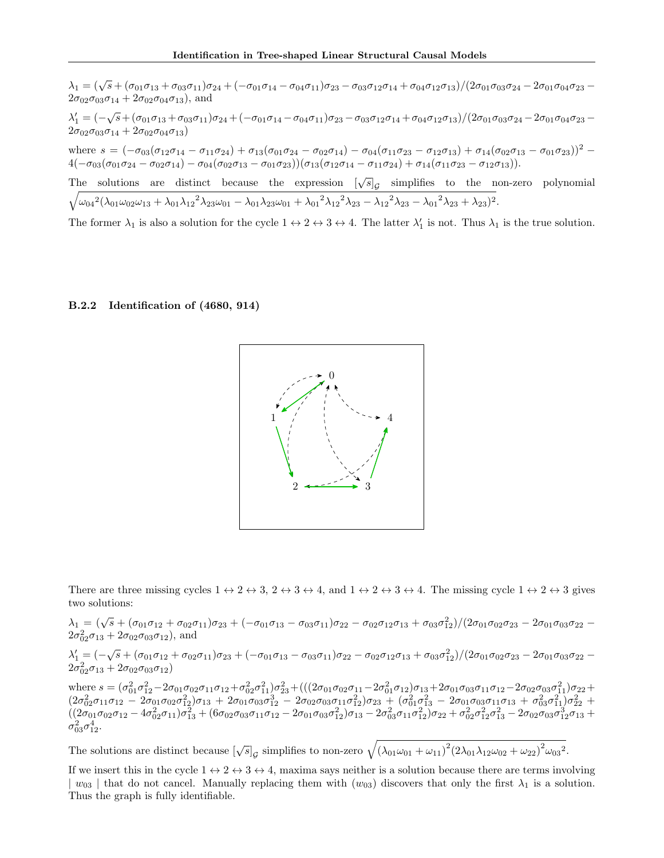$\lambda_1 = (\sqrt{s} + (\sigma_{01}\sigma_{13} + \sigma_{03}\sigma_{11})\sigma_{24} + (-\sigma_{01}\sigma_{14} - \sigma_{04}\sigma_{11})\sigma_{23} - \sigma_{03}\sigma_{12}\sigma_{14} + \sigma_{04}\sigma_{12}\sigma_{13})/(2\sigma_{01}\sigma_{03}\sigma_{24} - 2\sigma_{01}\sigma_{04}\sigma_{23} 2\sigma_{02}\sigma_{03}\sigma_{14} + 2\sigma_{02}\sigma_{04}\sigma_{13}$ , and  $\lambda_1' = (-\sqrt{s} + (\sigma_{01}\sigma_{13} + \sigma_{03}\sigma_{11})\sigma_{24} + (-\sigma_{01}\sigma_{14} - \sigma_{04}\sigma_{11})\sigma_{23} - \sigma_{03}\sigma_{12}\sigma_{14} + \sigma_{04}\sigma_{12}\sigma_{13})/(2\sigma_{01}\sigma_{03}\sigma_{24} - 2\sigma_{01}\sigma_{04}\sigma_{23} 2\sigma_{02}\sigma_{03}\sigma_{14} + 2\sigma_{02}\sigma_{04}\sigma_{13})$ where  $s = (-\sigma_{03}(\sigma_{12}\sigma_{14}-\sigma_{11}\sigma_{24})+\sigma_{13}(\sigma_{01}\sigma_{24}-\sigma_{02}\sigma_{14})-\sigma_{04}(\sigma_{11}\sigma_{23}-\sigma_{12}\sigma_{13})+\sigma_{14}(\sigma_{02}\sigma_{13}-\sigma_{01}\sigma_{23}))^{2}$  $4(-\sigma_{03}(\sigma_{01}\sigma_{24}-\sigma_{02}\sigma_{14})-\sigma_{04}(\sigma_{02}\sigma_{13}-\sigma_{01}\sigma_{23}))(\sigma_{13}(\sigma_{12}\sigma_{14}-\sigma_{11}\sigma_{24})+\sigma_{14}(\sigma_{11}\sigma_{23}-\sigma_{12}\sigma_{13})).$ The solutions are distinct because the expression  $[\sqrt{s}]_g$  simplifies to the non-zero polynomial  $\sqrt{\omega_{04}^2(\lambda_{01}\omega_{02}\omega_{13} + \lambda_{01}\lambda_{12}^2\lambda_{23}\omega_{01} - \lambda_{01}\lambda_{23}\omega_{01} + {\lambda_{01}}^2\lambda_{12}^2\lambda_{23} - {\lambda_{12}}^2\lambda_{23} - {\lambda_{01}}^2\lambda_{23} + \lambda_{23})^2}.$ 

The former  $\lambda_1$  is also a solution for the cycle  $1 \leftrightarrow 2 \leftrightarrow 3 \leftrightarrow 4$ . The latter  $\lambda'_1$  is not. Thus  $\lambda_1$  is the true solution.

#### B.2.2 Identification of (4680, 914)



There are three missing cycles  $1 \leftrightarrow 2 \leftrightarrow 3$ ,  $2 \leftrightarrow 3 \leftrightarrow 4$ , and  $1 \leftrightarrow 2 \leftrightarrow 3 \leftrightarrow 4$ . The missing cycle  $1 \leftrightarrow 2 \leftrightarrow 3$  gives two solutions:

 $\lambda_1 = (\sqrt{s} + (\sigma_{01}\sigma_{12} + \sigma_{02}\sigma_{11})\sigma_{23} + (-\sigma_{01}\sigma_{13} - \sigma_{03}\sigma_{11})\sigma_{22} - \sigma_{02}\sigma_{12}\sigma_{13} + \sigma_{03}\sigma_{12}^2)/(2\sigma_{01}\sigma_{02}\sigma_{23} - 2\sigma_{01}\sigma_{03}\sigma_{22} 2\sigma_{02}^2 \sigma_{13} + 2\sigma_{02} \sigma_{03} \sigma_{12}$ ), and

 $\lambda_1' = (-\sqrt{s} + (\sigma_{01}\sigma_{12} + \sigma_{02}\sigma_{11})\sigma_{23} + (-\sigma_{01}\sigma_{13} - \sigma_{03}\sigma_{11})\sigma_{22} - \sigma_{02}\sigma_{12}\sigma_{13} + \sigma_{03}\sigma_{12}^2)/(2\sigma_{01}\sigma_{02}\sigma_{23} - 2\sigma_{01}\sigma_{03}\sigma_{22} 2\sigma_{02}^2\sigma_{13} + 2\sigma_{02}\sigma_{03}\sigma_{12})$ 

where  $s = (\sigma_{01}^2 \sigma_{12}^2 - 2\sigma_{01}\sigma_{02}\sigma_{11}\sigma_{12} + \sigma_{02}^2 \sigma_{11}^2)\sigma_{23}^2 + (((2\sigma_{01}\sigma_{02}\sigma_{11} - 2\sigma_{01}^2 \sigma_{12})\sigma_{13} + 2\sigma_{01}\sigma_{03}\sigma_{11}\sigma_{12} - 2\sigma_{02}\sigma_{03}\sigma_{11}^2)\sigma_{22} +$  $(2\sigma_{02}^2\sigma_{11}\sigma_{12} - 2\sigma_{01}\sigma_{02}\sigma_{12}^2)\sigma_{13} + 2\sigma_{01}\sigma_{03}\sigma_{12}^3 - 2\sigma_{02}\sigma_{03}\sigma_{11}\sigma_{12}^2)\sigma_{23} + (\sigma_{01}^2\sigma_{13}^2 - 2\sigma_{01}\sigma_{03}\sigma_{11}\sigma_{13} + \sigma_{03}^2\sigma_{11}^2)\sigma_{22}^2 +$  $((2\sigma_{01}\sigma_{02}\sigma_{12}-4\sigma_{02}^2\sigma_{11})\sigma_{13}^2+(6\sigma_{02}\sigma_{03}\sigma_{11}\sigma_{12}-2\sigma_{01}\sigma_{03}\sigma_{12}^2)\sigma_{13}-2\sigma_{03}^2\sigma_{11}\sigma_{12}^2)\sigma_{22}+\sigma_{02}^2\sigma_{12}^2\sigma_{13}^2-2\sigma_{02}\sigma_{03}\sigma_{12}^3\sigma_{13}+$  $\sigma_{03}^2 \sigma_{12}^4$ .

The solutions are distinct because  $[\sqrt{s}]_G$  simplifies to non-zero  $\sqrt{(\lambda_{01}\omega_{01} + \omega_{11})^2(2\lambda_{01}\lambda_{12}\omega_{02} + \omega_{22})^2\omega_{03}^2}$ .

If we insert this in the cycle  $1 \leftrightarrow 2 \leftrightarrow 3 \leftrightarrow 4$ , maxima says neither is a solution because there are terms involving  $| w_{03} |$  that do not cancel. Manually replacing them with  $(w_{03})$  discovers that only the first  $\lambda_1$  is a solution. Thus the graph is fully identifiable.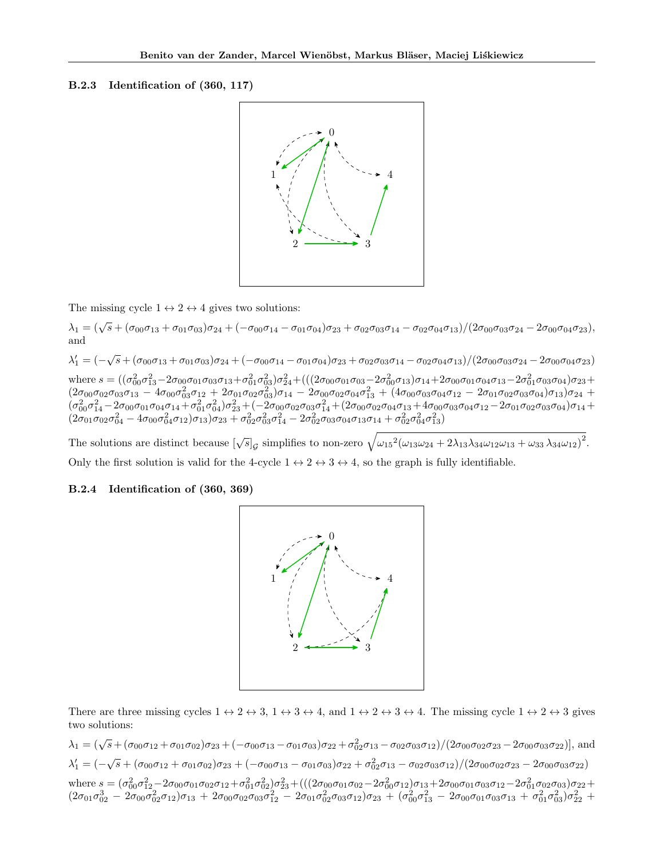#### B.2.3 Identification of (360, 117)



The missing cycle  $1 \leftrightarrow 2 \leftrightarrow 4$  gives two solutions:

 $\lambda_1 = (\sqrt{s} + (\sigma_{00}\sigma_{13} + \sigma_{01}\sigma_{03})\sigma_{24} + (-\sigma_{00}\sigma_{14} - \sigma_{01}\sigma_{04})\sigma_{23} + \sigma_{02}\sigma_{03}\sigma_{14} - \sigma_{02}\sigma_{04}\sigma_{13})/(2\sigma_{00}\sigma_{03}\sigma_{24} - 2\sigma_{00}\sigma_{04}\sigma_{23}),$ and

 $\lambda_1' = (-\sqrt{s} + (\sigma_{00}\sigma_{13} + \sigma_{01}\sigma_{03})\sigma_{24} + (-\sigma_{00}\sigma_{14} - \sigma_{01}\sigma_{04})\sigma_{23} + \sigma_{02}\sigma_{03}\sigma_{14} - \sigma_{02}\sigma_{04}\sigma_{13})/(2\sigma_{00}\sigma_{03}\sigma_{24} - 2\sigma_{00}\sigma_{04}\sigma_{23})$ where  $s = ((\sigma_{00}^2 \sigma_{13}^2 - 2\sigma_{00}\sigma_{01}\sigma_{03}\sigma_{13} + \sigma_{01}^2 \sigma_{03}^2)\sigma_{24}^2 + (((2\sigma_{00}\sigma_{01}\sigma_{03} - 2\sigma_{00}^2 \sigma_{13})\sigma_{14} + 2\sigma_{00}\sigma_{01}\sigma_{04}\sigma_{13} - 2\sigma_{01}^2 \sigma_{03}\sigma_{04})\sigma_{23} +$  $(2\sigma_{00}\sigma_{02}\sigma_{03}\sigma_{13} - 4\sigma_{00}\sigma_{03}^2\sigma_{12} + 2\sigma_{01}\sigma_{02}\sigma_{03}^2)\sigma_{14} - 2\sigma_{00}\sigma_{02}\sigma_{04}\sigma_{13}^2 + (4\sigma_{00}\sigma_{03}\sigma_{04}\sigma_{12} - 2\sigma_{01}\sigma_{02}\sigma_{03}\sigma_{04})\sigma_{13})\sigma_{24} +$  $(\sigma_{00}^2 \sigma_{14}^2 - 2 \sigma_{00} \sigma_{01} \sigma_{04} \sigma_{14} + \sigma_{01}^2 \sigma_{04}^2) \sigma_{23}^2 + (-2 \sigma_{00} \sigma_{02} \sigma_{03} \sigma_{14}^2 + (2 \sigma_{00} \sigma_{02} \sigma_{04} \sigma_{13} + 4 \sigma_{00} \sigma_{03} \sigma_{04} \sigma_{12} - 2 \sigma_{01} \sigma_{02} \sigma_{03} \sigma_{04}) \sigma_{14} +$  $(2\sigma_{01}\sigma_{02}\sigma_{04}^2 - 4\sigma_{00}\sigma_{04}^2\sigma_{12})\sigma_{13})\sigma_{23} + \sigma_{02}^2\sigma_{03}^2\sigma_{14}^2 - 2\sigma_{02}^2\sigma_{03}\sigma_{04}\sigma_{13}\sigma_{14} + \sigma_{02}^2\sigma_{04}^2\sigma_{13}^2)$ 

The solutions are distinct because  $[\sqrt{s}]_g$  simplifies to non-zero  $\sqrt{\omega_{15}^2(\omega_{13}\omega_{24}+2\lambda_{13}\lambda_{34}\omega_{12}\omega_{13}+\omega_{33}\lambda_{34}\omega_{12})^2}$ . Only the first solution is valid for the 4-cycle  $1 \leftrightarrow 2 \leftrightarrow 3 \leftrightarrow 4$ , so the graph is fully identifiable.

## B.2.4 Identification of (360, 369)



There are three missing cycles  $1 \leftrightarrow 2 \leftrightarrow 3$ ,  $1 \leftrightarrow 3 \leftrightarrow 4$ , and  $1 \leftrightarrow 2 \leftrightarrow 3 \leftrightarrow 4$ . The missing cycle  $1 \leftrightarrow 2 \leftrightarrow 3$  gives two solutions:

 $\lambda_1 = (\sqrt{s} + (\sigma_{00}\sigma_{12} + \sigma_{01}\sigma_{02})\sigma_{23} + (-\sigma_{00}\sigma_{13} - \sigma_{01}\sigma_{03})\sigma_{22} + \sigma_{02}^2\sigma_{13} - \sigma_{02}\sigma_{03}\sigma_{12})/(2\sigma_{00}\sigma_{02}\sigma_{23} - 2\sigma_{00}\sigma_{03}\sigma_{22})],$  and  $\lambda_1' = (-\sqrt{s} + (\sigma_{00}\sigma_{12} + \sigma_{01}\sigma_{02})\sigma_{23} + (-\sigma_{00}\sigma_{13} - \sigma_{01}\sigma_{03})\sigma_{22} + \sigma_{02}^2\sigma_{13} - \sigma_{02}\sigma_{03}\sigma_{12})/(2\sigma_{00}\sigma_{02}\sigma_{23} - 2\sigma_{00}\sigma_{03}\sigma_{22})$ where  $s=(\sigma_{00}^2\sigma_{12}^2-2\sigma_{00}\sigma_{01}\sigma_{02}\sigma_{12}+\sigma_{01}^2\sigma_{02}^2)\sigma_{23}^2+(((2\sigma_{00}\sigma_{01}\sigma_{02}-2\sigma_{00}^2\sigma_{12})\sigma_{13}+2\sigma_{00}\sigma_{01}\sigma_{03}\sigma_{12}-2\sigma_{01}^2\sigma_{02}\sigma_{03})\sigma_{22}+$  $(2\sigma_{01}\sigma_{02}^3 - 2\sigma_{00}\sigma_{02}^2\sigma_{12})\sigma_{13} + 2\sigma_{00}\sigma_{02}\sigma_{03}\sigma_{12}^2 - 2\sigma_{01}\sigma_{02}^2\sigma_{03}\sigma_{12})\sigma_{23} + (\sigma_{00}^2\sigma_{13}^2 - 2\sigma_{00}\sigma_{01}\sigma_{03}\sigma_{13} + \sigma_{01}^2\sigma_{03}^2)\sigma_{22}^2 +$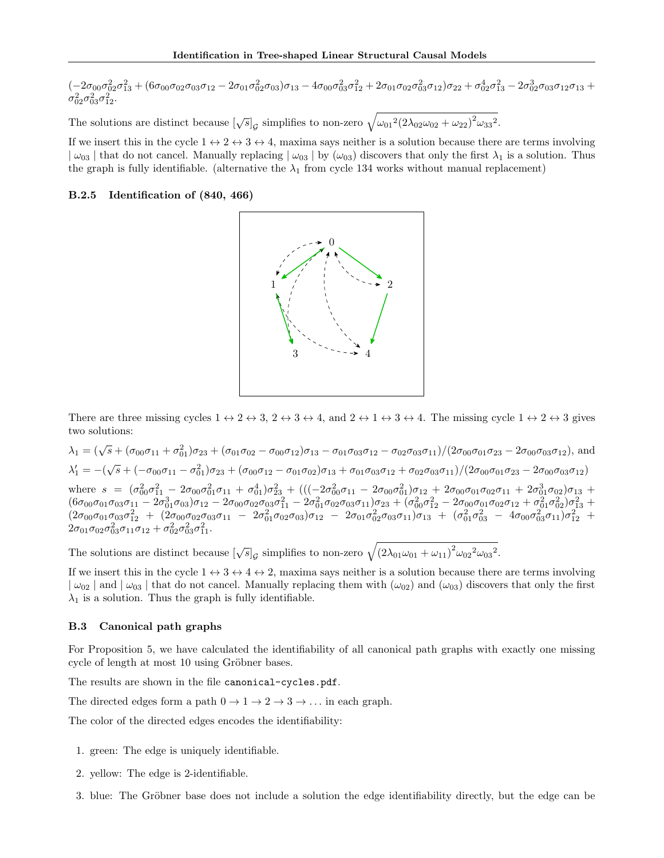$(-2\sigma_{00}\sigma_{02}^2\sigma_{13}^2 + (6\sigma_{00}\sigma_{02}\sigma_{03}\sigma_{12} - 2\sigma_{01}\sigma_{02}^2\sigma_{03})\sigma_{13} - 4\sigma_{00}\sigma_{03}^2\sigma_{12}^2 + 2\sigma_{01}\sigma_{02}\sigma_{03}^2\sigma_{12})\sigma_{22} + \sigma_{02}^4\sigma_{13}^2 - 2\sigma_{02}^3\sigma_{03}\sigma_{12}\sigma_{13} +$  $\sigma_{02}^2 \sigma_{03}^2 \sigma_{12}^2$ .

The solutions are distinct because  $[\sqrt{s}]_G$  simplifies to non-zero  $\sqrt{\omega_{01}^2(2\lambda_{02}\omega_{02} + \omega_{22})^2\omega_{33}^2}$ .

If we insert this in the cycle  $1 \leftrightarrow 2 \leftrightarrow 3 \leftrightarrow 4$ , maxima says neither is a solution because there are terms involving  $\omega_{03}$  that do not cancel. Manually replacing  $\omega_{03}$  by  $(\omega_{03})$  discovers that only the first  $\lambda_1$  is a solution. Thus the graph is fully identifiable. (alternative the  $\lambda_1$  from cycle 134 works without manual replacement)

#### B.2.5 Identification of (840, 466)



There are three missing cycles  $1 \leftrightarrow 2 \leftrightarrow 3$ ,  $2 \leftrightarrow 3 \leftrightarrow 4$ , and  $2 \leftrightarrow 1 \leftrightarrow 3 \leftrightarrow 4$ . The missing cycle  $1 \leftrightarrow 2 \leftrightarrow 3$  gives two solutions:

 $\lambda_1 = (\sqrt{s} + (\sigma_{00}\sigma_{11} + \sigma_{01}^2)\sigma_{23} + (\sigma_{01}\sigma_{02} - \sigma_{00}\sigma_{12})\sigma_{13} - \sigma_{01}\sigma_{03}\sigma_{12} - \sigma_{02}\sigma_{03}\sigma_{11})/(2\sigma_{00}\sigma_{01}\sigma_{23} - 2\sigma_{00}\sigma_{03}\sigma_{12})$ , and  $\lambda'_1 = -(\sqrt{s} + (-\sigma_{00}\sigma_{11} - \sigma_{01}^2)\sigma_{23} + (\sigma_{00}\sigma_{12} - \sigma_{01}\sigma_{02})\sigma_{13} + \sigma_{01}\sigma_{03}\sigma_{12} + \sigma_{02}\sigma_{03}\sigma_{11})/(2\sigma_{00}\sigma_{01}\sigma_{23} - 2\sigma_{00}\sigma_{03}\sigma_{12})$ where  $s = (\sigma_{00}^2 \sigma_{11}^2 - 2\sigma_{00}\sigma_{01}^2 \sigma_{11} + \sigma_{01}^4)\sigma_{23}^2 + (((-2\sigma_{00}^2 \sigma_{11} - 2\sigma_{00}\sigma_{01}^2)\sigma_{12} + 2\sigma_{00}\sigma_{01}\sigma_{02}\sigma_{11} + 2\sigma_{01}^3 \sigma_{02})\sigma_{13} +$  $(6\sigma_{00}\sigma_{01}\sigma_{03}\sigma_{11} - 2\sigma_{01}^3\sigma_{03})\sigma_{12} - 2\sigma_{00}\sigma_{02}\sigma_{03}\sigma_{11}^2 - 2\sigma_{01}^2\sigma_{02}\sigma_{03}\sigma_{11})\sigma_{23} + (\sigma_{00}^2\sigma_{12}^2 - 2\sigma_{00}\sigma_{01}\sigma_{02}\sigma_{12} + \sigma_{01}^2\sigma_{02}^2)\sigma_{13}^2 +$  $(2\sigma_{00}\sigma_{01}\sigma_{03}\sigma_{12}^2 \ + \ (2\sigma_{00}\sigma_{02}\sigma_{03}\sigma_{11} \ - \ 2\sigma_{01}^2\sigma_{02}\sigma_{03})\sigma_{12} \ - \ 2\sigma_{01}\sigma_{02}^2\sigma_{03}\sigma_{11})\sigma_{13} \ + \ (\sigma_{01}^2\sigma_{03}^2 \ - \ 4\sigma_{00}\sigma_{03}^2\sigma_{11})\sigma_{12}^2 \ +$  $2\sigma_{01}\sigma_{02}\sigma_{03}^2\sigma_{11}\sigma_{12} + \sigma_{02}^2\sigma_{03}^2\sigma_{11}^2$ .

The solutions are distinct because  $[\sqrt{s}]_G$  simplifies to non-zero  $\sqrt{(2\lambda_{01}\omega_{01} + \omega_{11})^2\omega_{02}^2\omega_{03}^2}$ .

If we insert this in the cycle  $1 \leftrightarrow 3 \leftrightarrow 4 \leftrightarrow 2$ , maxima says neither is a solution because there are terms involving  $\omega_{02}$  and  $\omega_{03}$  that do not cancel. Manually replacing them with  $(\omega_{02})$  and  $(\omega_{03})$  discovers that only the first  $\lambda_1$  is a solution. Thus the graph is fully identifiable.

## B.3 Canonical path graphs

For Proposition 5, we have calculated the identifiability of all canonical path graphs with exactly one missing cycle of length at most 10 using Gröbner bases.

The results are shown in the file canonical-cycles.pdf.

The directed edges form a path  $0 \to 1 \to 2 \to 3 \to \dots$  in each graph.

The color of the directed edges encodes the identifiability:

- 1. green: The edge is uniquely identifiable.
- 2. yellow: The edge is 2-identifiable.
- 3. blue: The Gröbner base does not include a solution the edge identifiability directly, but the edge can be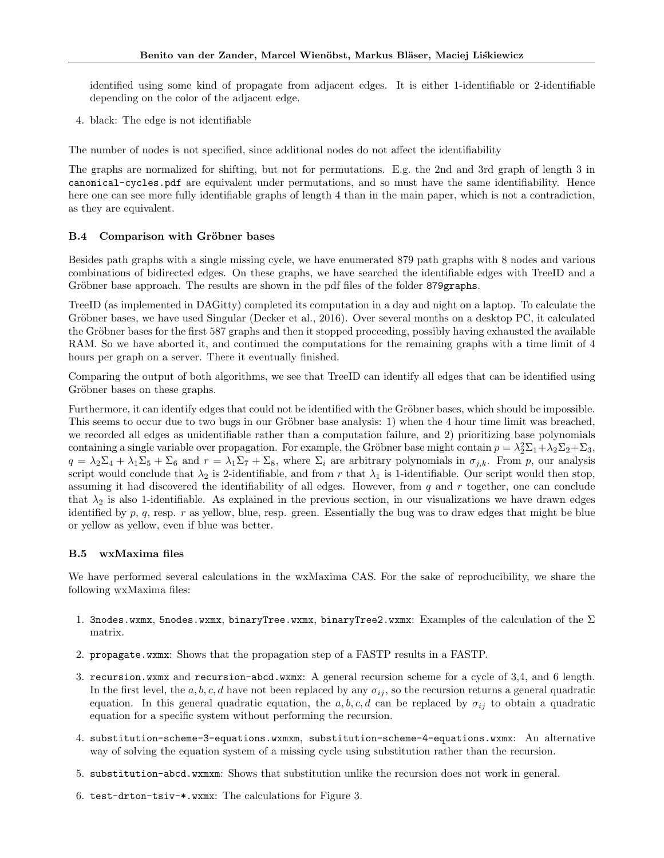identified using some kind of propagate from adjacent edges. It is either 1-identifiable or 2-identifiable depending on the color of the adjacent edge.

4. black: The edge is not identifiable

The number of nodes is not specified, since additional nodes do not affect the identifiability

The graphs are normalized for shifting, but not for permutations. E.g. the 2nd and 3rd graph of length 3 in canonical-cycles.pdf are equivalent under permutations, and so must have the same identifiability. Hence here one can see more fully identifiable graphs of length 4 than in the main paper, which is not a contradiction, as they are equivalent.

# B.4 Comparison with Gröbner bases

Besides path graphs with a single missing cycle, we have enumerated 879 path graphs with 8 nodes and various combinations of bidirected edges. On these graphs, we have searched the identifiable edges with TreeID and a Gröbner base approach. The results are shown in the pdf files of the folder 879graphs.

TreeID (as implemented in DAGitty) completed its computation in a day and night on a laptop. To calculate the Gröbner bases, we have used Singular (Decker et al., 2016). Over several months on a desktop PC, it calculated the Gröbner bases for the first 587 graphs and then it stopped proceeding, possibly having exhausted the available RAM. So we have aborted it, and continued the computations for the remaining graphs with a time limit of 4 hours per graph on a server. There it eventually finished.

Comparing the output of both algorithms, we see that TreeID can identify all edges that can be identified using Gröbner bases on these graphs.

Furthermore, it can identify edges that could not be identified with the Gröbner bases, which should be impossible. This seems to occur due to two bugs in our Gröbner base analysis: 1) when the 4 hour time limit was breached, we recorded all edges as unidentifiable rather than a computation failure, and 2) prioritizing base polynomials containing a single variable over propagation. For example, the Gröbner base might contain  $p = \lambda_2^2 \Sigma_1 + \lambda_2 \Sigma_2 + \Sigma_3$ ,  $q = \lambda_2 \Sigma_4 + \lambda_1 \Sigma_5 + \Sigma_6$  and  $r = \lambda_1 \Sigma_7 + \Sigma_8$ , where  $\Sigma_i$  are arbitrary polynomials in  $\sigma_{j,k}$ . From p, our analysis script would conclude that  $\lambda_2$  is 2-identifiable, and from r that  $\lambda_1$  is 1-identifiable. Our script would then stop, assuming it had discovered the identifiability of all edges. However, from  $q$  and  $r$  together, one can conclude that  $\lambda_2$  is also 1-identifiable. As explained in the previous section, in our visualizations we have drawn edges identified by  $p, q$ , resp.  $r$  as yellow, blue, resp. green. Essentially the bug was to draw edges that might be blue or yellow as yellow, even if blue was better.

# B.5 wxMaxima files

We have performed several calculations in the wxMaxima CAS. For the sake of reproducibility, we share the following wxMaxima files:

- 1. 3nodes.wxmx, 5nodes.wxmx, binaryTree.wxmx, binaryTree2.wxmx: Examples of the calculation of the  $\Sigma$ matrix.
- 2. propagate.wxmx: Shows that the propagation step of a FASTP results in a FASTP.
- 3. recursion.wxmx and recursion-abcd.wxmx: A general recursion scheme for a cycle of 3,4, and 6 length. In the first level, the a, b, c, d have not been replaced by any  $\sigma_{ij}$ , so the recursion returns a general quadratic equation. In this general quadratic equation, the a, b, c, d can be replaced by  $\sigma_{ij}$  to obtain a quadratic equation for a specific system without performing the recursion.
- 4. substitution-scheme-3-equations.wxmxm, substitution-scheme-4-equations.wxmx: An alternative way of solving the equation system of a missing cycle using substitution rather than the recursion.
- 5. substitution-abcd.wxmxm: Shows that substitution unlike the recursion does not work in general.
- 6. test-drton-tsiv-\*.wxmx: The calculations for Figure 3.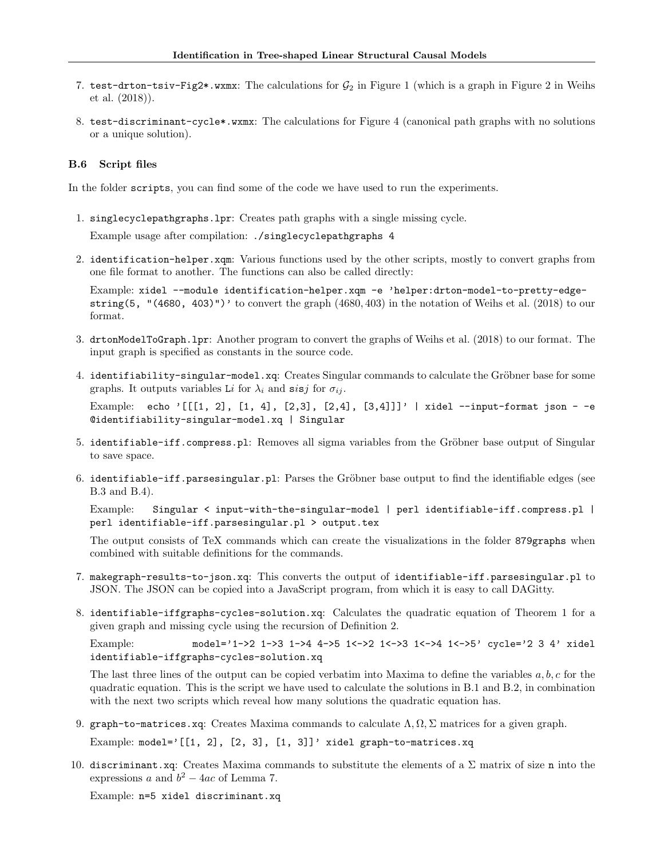- 7. test-drton-tsiv-Fig2\*.wxmx: The calculations for  $G_2$  in Figure 1 (which is a graph in Figure 2 in Weihs et al. (2018)).
- 8. test-discriminant-cycle\*.wxmx: The calculations for Figure 4 (canonical path graphs with no solutions or a unique solution).

#### B.6 Script files

In the folder scripts, you can find some of the code we have used to run the experiments.

1. singlecyclepathgraphs.lpr: Creates path graphs with a single missing cycle.

Example usage after compilation: ./singlecyclepathgraphs 4

2. identification-helper.xqm: Various functions used by the other scripts, mostly to convert graphs from one file format to another. The functions can also be called directly:

Example: xidel --module identification-helper.xqm -e 'helper:drton-model-to-pretty-edgestring(5, " $(4680, 403)$ ")' to convert the graph  $(4680, 403)$  in the notation of Weihs et al.  $(2018)$  to our format.

- 3. drtonModelToGraph.lpr: Another program to convert the graphs of Weihs et al. (2018) to our format. The input graph is specified as constants in the source code.
- 4. identifiability-singular-model.xq: Creates Singular commands to calculate the Gröbner base for some graphs. It outputs variables Li for  $\lambda_i$  and sisj for  $\sigma_{ij}$ .

Example: echo '[[[1, 2], [1, 4], [2,3], [2,4], [3,4]]]' | xidel --input-format json - -e @identifiability-singular-model.xq | Singular

- 5. identifiable-iff.compress.pl: Removes all sigma variables from the Gröbner base output of Singular to save space.
- 6. identifiable-iff.parsesingular.pl: Parses the Gröbner base output to find the identifiable edges (see B.3 and B.4).

Example: Singular < input-with-the-singular-model | perl identifiable-iff.compress.pl | perl identifiable-iff.parsesingular.pl > output.tex

The output consists of TeX commands which can create the visualizations in the folder 879graphs when combined with suitable definitions for the commands.

- 7. makegraph-results-to-json.xq: This converts the output of identifiable-iff.parsesingular.pl to JSON. The JSON can be copied into a JavaScript program, from which it is easy to call DAGitty.
- 8. identifiable-iffgraphs-cycles-solution.xq: Calculates the quadratic equation of Theorem 1 for a given graph and missing cycle using the recursion of Definition 2.

Example: model='1->2 1->3 1->4 4->5 1<->2 1<->3 1<->4 1<->5' cycle='2 3 4' xidel identifiable-iffgraphs-cycles-solution.xq

The last three lines of the output can be copied verbatim into Maxima to define the variables  $a, b, c$  for the quadratic equation. This is the script we have used to calculate the solutions in B.1 and B.2, in combination with the next two scripts which reveal how many solutions the quadratic equation has.

9. graph-to-matrices.xq: Creates Maxima commands to calculate  $\Lambda, \Omega, \Sigma$  matrices for a given graph.

Example: model=' $[1, 2], [2, 3], [1, 3]$ ' xidel graph-to-matrices.xq

10. discriminant.xq: Creates Maxima commands to substitute the elements of a  $\Sigma$  matrix of size n into the expressions a and  $b^2 - 4ac$  of Lemma 7.

Example: n=5 xidel discriminant.xq